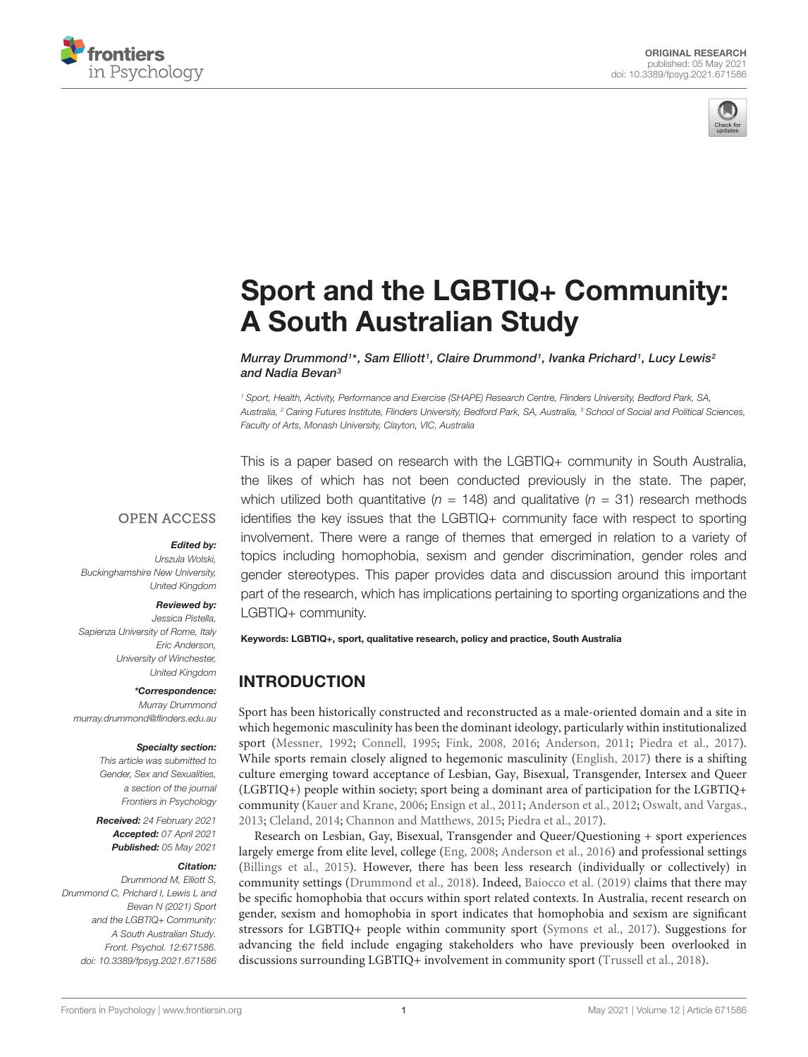



# [Sport and the LGBTIQ+ Community:](https://www.frontiersin.org/articles/10.3389/fpsyg.2021.671586/full) A South Australian Study

Murray Drummond1\*, Sam Elliott1, Claire Drummond1, Ivanka Prichard1, Lucy Lewis<sup>2</sup> and Nadia Bevan<sup>3</sup>

<sup>1</sup> Sport, Health, Activity, Performance and Exercise (SHAPE) Research Centre, Flinders University, Bedford Park, SA, Australia, <sup>2</sup> Caring Futures Institute, Flinders University, Bedford Park, SA, Australia, <sup>3</sup> School of Social and Political Sciences, Faculty of Arts, Monash University, Clayton, VIC, Australia

This is a paper based on research with the LGBTIQ+ community in South Australia, the likes of which has not been conducted previously in the state. The paper, which utilized both quantitative ( $n = 148$ ) and qualitative ( $n = 31$ ) research methods identifies the key issues that the LGBTIQ+ community face with respect to sporting involvement. There were a range of themes that emerged in relation to a variety of topics including homophobia, sexism and gender discrimination, gender roles and gender stereotypes. This paper provides data and discussion around this important part of the research, which has implications pertaining to sporting organizations and the LGBTIQ+ community.

Keywords: LGBTIQ+, sport, qualitative research, policy and practice, South Australia

# INTRODUCTION

Sport has been historically constructed and reconstructed as a male-oriented domain and a site in which hegemonic masculinity has been the dominant ideology, particularly within institutionalized sport [\(Messner,](#page-14-0) [1992;](#page-14-0) [Connell,](#page-14-1) [1995;](#page-14-1) [Fink,](#page-14-2) [2008,](#page-14-2) [2016;](#page-14-3) [Anderson,](#page-13-0) [2011;](#page-13-0) [Piedra et al.,](#page-14-4) [2017\)](#page-14-4). While sports remain closely aligned to hegemonic masculinity [\(English,](#page-14-5) [2017\)](#page-14-5) there is a shifting culture emerging toward acceptance of Lesbian, Gay, Bisexual, Transgender, Intersex and Queer (LGBTIQ+) people within society; sport being a dominant area of participation for the LGBTIQ+ community [\(Kauer and Krane,](#page-14-6) [2006;](#page-14-6) [Ensign et al.,](#page-14-7) [2011;](#page-14-7) [Anderson et al.,](#page-13-1) [2012;](#page-13-1) [Oswalt, and Vargas.,](#page-14-8) [2013;](#page-14-8) [Cleland,](#page-14-9) [2014;](#page-14-9) [Channon and Matthews,](#page-13-2) [2015;](#page-13-2) [Piedra et al.,](#page-14-4) [2017\)](#page-14-4).

Research on Lesbian, Gay, Bisexual, Transgender and Queer/Questioning + sport experiences largely emerge from elite level, college [\(Eng,](#page-14-10) [2008;](#page-14-10) [Anderson et al.,](#page-13-3) [2016\)](#page-13-3) and professional settings [\(Billings et al.,](#page-13-4) [2015\)](#page-13-4). However, there has been less research (individually or collectively) in community settings [\(Drummond et al.,](#page-14-11) [2018\)](#page-14-11). Indeed, [Baiocco et al.](#page-13-5) [\(2019\)](#page-13-5) claims that there may be specific homophobia that occurs within sport related contexts. In Australia, recent research on gender, sexism and homophobia in sport indicates that homophobia and sexism are significant stressors for LGBTIQ+ people within community sport [\(Symons et al.,](#page-14-12) [2017\)](#page-14-12). Suggestions for advancing the field include engaging stakeholders who have previously been overlooked in discussions surrounding LGBTIQ+ involvement in community sport [\(Trussell et al.,](#page-14-13) [2018\)](#page-14-13).

## **OPEN ACCESS**

#### Edited by:

Urszula Wolski, Buckinghamshire New University, United Kingdom

## Reviewed by:

Jessica Pistella, Sapienza University of Rome, Italy Eric Anderson, University of Winchester, United Kingdom

\*Correspondence:

Murray Drummond murray.drummond@flinders.edu.au

#### Specialty section:

This article was submitted to Gender, Sex and Sexualities, a section of the journal Frontiers in Psychology

Received: 24 February 2021 Accepted: 07 April 2021 Published: 05 May 2021

#### Citation:

Drummond M, Elliott S, Drummond C, Prichard I, Lewis L and Bevan N (2021) Sport and the LGBTIQ+ Community: A South Australian Study. Front. Psychol. 12:671586. doi: [10.3389/fpsyg.2021.671586](https://doi.org/10.3389/fpsyg.2021.671586)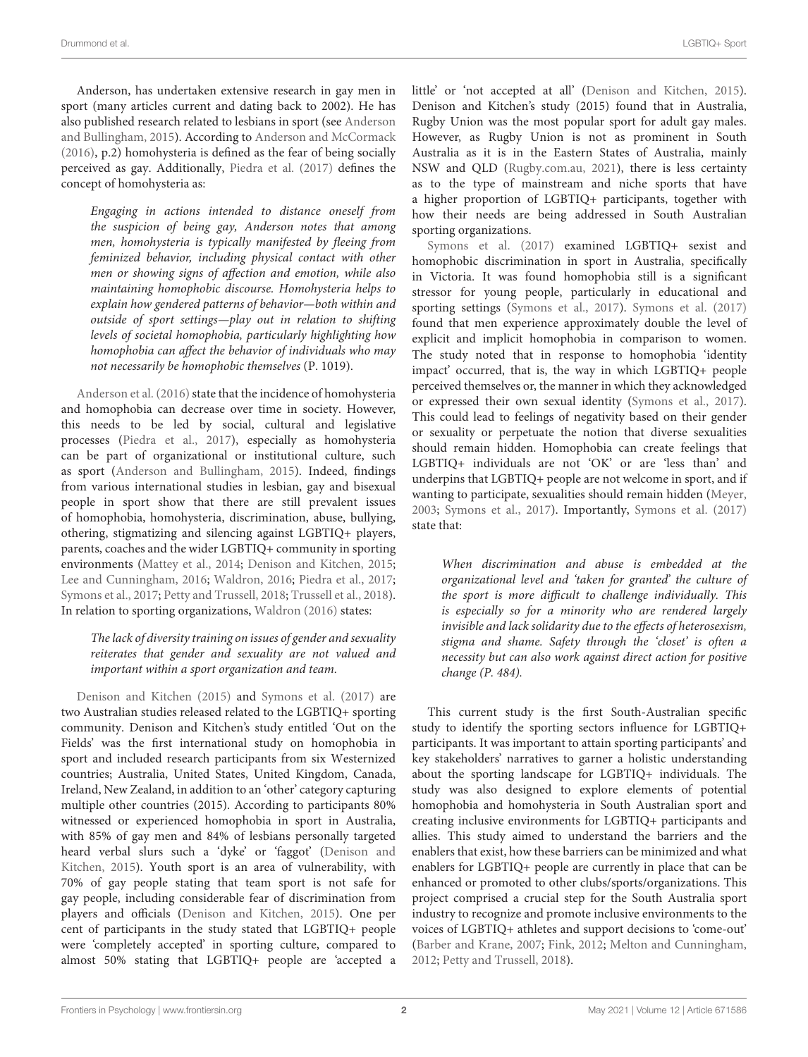Anderson, has undertaken extensive research in gay men in sport (many articles current and dating back to 2002). He has also published research related to lesbians in sport (see [Anderson](#page-13-6) [and Bullingham,](#page-13-6) [2015\)](#page-13-6). According to [Anderson and McCormack](#page-13-7) [\(2016\)](#page-13-7), p.2) homohysteria is defined as the fear of being socially perceived as gay. Additionally, [Piedra et al.](#page-14-4) [\(2017\)](#page-14-4) defines the concept of homohysteria as:

Engaging in actions intended to distance oneself from the suspicion of being gay, Anderson notes that among men, homohysteria is typically manifested by fleeing from feminized behavior, including physical contact with other men or showing signs of affection and emotion, while also maintaining homophobic discourse. Homohysteria helps to explain how gendered patterns of behavior—both within and outside of sport settings—play out in relation to shifting levels of societal homophobia, particularly highlighting how homophobia can affect the behavior of individuals who may not necessarily be homophobic themselves (P. 1019).

[Anderson et al.](#page-13-3) [\(2016\)](#page-13-3) state that the incidence of homohysteria and homophobia can decrease over time in society. However, this needs to be led by social, cultural and legislative processes [\(Piedra et al.,](#page-14-4) [2017\)](#page-14-4), especially as homohysteria can be part of organizational or institutional culture, such as sport [\(Anderson and Bullingham,](#page-13-6) [2015\)](#page-13-6). Indeed, findings from various international studies in lesbian, gay and bisexual people in sport show that there are still prevalent issues of homophobia, homohysteria, discrimination, abuse, bullying, othering, stigmatizing and silencing against LGBTIQ+ players, parents, coaches and the wider LGBTIQ+ community in sporting environments [\(Mattey et al.,](#page-14-14) [2014;](#page-14-14) [Denison and Kitchen,](#page-14-15) [2015;](#page-14-15) [Lee and Cunningham,](#page-14-16) [2016;](#page-14-16) [Waldron,](#page-14-17) [2016;](#page-14-17) [Piedra et al.,](#page-14-4) [2017;](#page-14-4) [Symons et al.,](#page-14-12) [2017;](#page-14-12) [Petty and Trussell,](#page-14-18) [2018;](#page-14-18) [Trussell et al.,](#page-14-13) [2018\)](#page-14-13). In relation to sporting organizations, [Waldron](#page-14-17) [\(2016\)](#page-14-17) states:

## The lack of diversity training on issues of gender and sexuality reiterates that gender and sexuality are not valued and important within a sport organization and team.

[Denison and Kitchen](#page-14-15) [\(2015\)](#page-14-15) and [Symons et al.](#page-14-12) [\(2017\)](#page-14-12) are two Australian studies released related to the LGBTIQ+ sporting community. Denison and Kitchen's study entitled 'Out on the Fields' was the first international study on homophobia in sport and included research participants from six Westernized countries; Australia, United States, United Kingdom, Canada, Ireland, New Zealand, in addition to an 'other' category capturing multiple other countries (2015). According to participants 80% witnessed or experienced homophobia in sport in Australia, with 85% of gay men and 84% of lesbians personally targeted heard verbal slurs such a 'dyke' or 'faggot' [\(Denison and](#page-14-15) [Kitchen,](#page-14-15) [2015\)](#page-14-15). Youth sport is an area of vulnerability, with 70% of gay people stating that team sport is not safe for gay people, including considerable fear of discrimination from players and officials [\(Denison and Kitchen,](#page-14-15) [2015\)](#page-14-15). One per cent of participants in the study stated that LGBTIQ+ people were 'completely accepted' in sporting culture, compared to almost 50% stating that LGBTIQ+ people are 'accepted a

little' or 'not accepted at all' [\(Denison and Kitchen,](#page-14-15) [2015\)](#page-14-15). Denison and Kitchen's study (2015) found that in Australia, Rugby Union was the most popular sport for adult gay males. However, as Rugby Union is not as prominent in South Australia as it is in the Eastern States of Australia, mainly NSW and QLD [\(Rugby.com.au,](#page-14-19) [2021\)](#page-14-19), there is less certainty as to the type of mainstream and niche sports that have a higher proportion of LGBTIQ+ participants, together with how their needs are being addressed in South Australian sporting organizations.

[Symons et al.](#page-14-12) [\(2017\)](#page-14-12) examined LGBTIQ+ sexist and homophobic discrimination in sport in Australia, specifically in Victoria. It was found homophobia still is a significant stressor for young people, particularly in educational and sporting settings [\(Symons et al.,](#page-14-12) [2017\)](#page-14-12). [Symons et al.](#page-14-12) [\(2017\)](#page-14-12) found that men experience approximately double the level of explicit and implicit homophobia in comparison to women. The study noted that in response to homophobia 'identity impact' occurred, that is, the way in which LGBTIQ+ people perceived themselves or, the manner in which they acknowledged or expressed their own sexual identity [\(Symons et al.,](#page-14-12) [2017\)](#page-14-12). This could lead to feelings of negativity based on their gender or sexuality or perpetuate the notion that diverse sexualities should remain hidden. Homophobia can create feelings that LGBTIQ+ individuals are not 'OK' or are 'less than' and underpins that LGBTIQ+ people are not welcome in sport, and if wanting to participate, sexualities should remain hidden [\(Meyer,](#page-14-20) [2003;](#page-14-20) [Symons et al.,](#page-14-12) [2017\)](#page-14-12). Importantly, [Symons et al.](#page-14-12) [\(2017\)](#page-14-12) state that:

When discrimination and abuse is embedded at the organizational level and 'taken for granted' the culture of the sport is more difficult to challenge individually. This is especially so for a minority who are rendered largely invisible and lack solidarity due to the effects of heterosexism, stigma and shame. Safety through the 'closet' is often a necessity but can also work against direct action for positive change (P. 484).

This current study is the first South-Australian specific study to identify the sporting sectors influence for LGBTIQ+ participants. It was important to attain sporting participants' and key stakeholders' narratives to garner a holistic understanding about the sporting landscape for LGBTIQ+ individuals. The study was also designed to explore elements of potential homophobia and homohysteria in South Australian sport and creating inclusive environments for LGBTIQ+ participants and allies. This study aimed to understand the barriers and the enablers that exist, how these barriers can be minimized and what enablers for LGBTIQ+ people are currently in place that can be enhanced or promoted to other clubs/sports/organizations. This project comprised a crucial step for the South Australia sport industry to recognize and promote inclusive environments to the voices of LGBTIQ+ athletes and support decisions to 'come-out' [\(Barber and Krane,](#page-13-8) [2007;](#page-13-8) [Fink,](#page-14-21) [2012;](#page-14-21) [Melton and Cunningham,](#page-14-22) [2012;](#page-14-22) [Petty and Trussell,](#page-14-18) [2018\)](#page-14-18).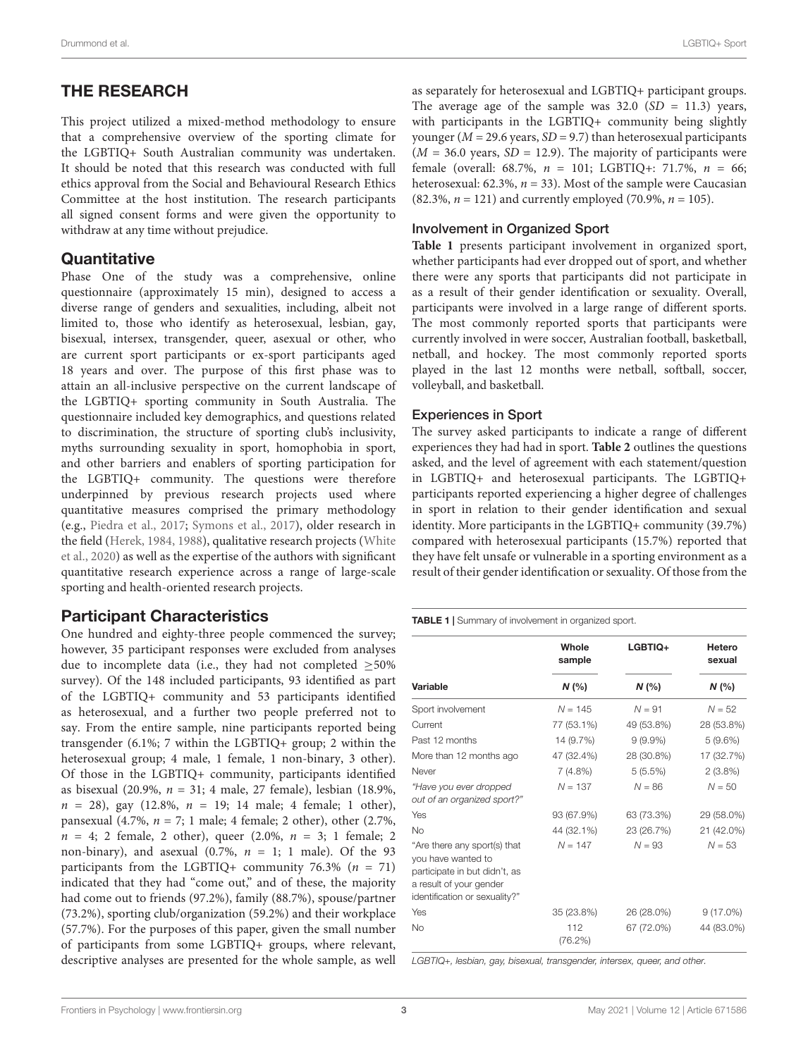# THE RESEARCH

This project utilized a mixed-method methodology to ensure that a comprehensive overview of the sporting climate for the LGBTIQ+ South Australian community was undertaken. It should be noted that this research was conducted with full ethics approval from the Social and Behavioural Research Ethics Committee at the host institution. The research participants all signed consent forms and were given the opportunity to withdraw at any time without prejudice.

# **Quantitative**

Phase One of the study was a comprehensive, online questionnaire (approximately 15 min), designed to access a diverse range of genders and sexualities, including, albeit not limited to, those who identify as heterosexual, lesbian, gay, bisexual, intersex, transgender, queer, asexual or other, who are current sport participants or ex-sport participants aged 18 years and over. The purpose of this first phase was to attain an all-inclusive perspective on the current landscape of the LGBTIQ+ sporting community in South Australia. The questionnaire included key demographics, and questions related to discrimination, the structure of sporting club's inclusivity, myths surrounding sexuality in sport, homophobia in sport, and other barriers and enablers of sporting participation for the LGBTIQ+ community. The questions were therefore underpinned by previous research projects used where quantitative measures comprised the primary methodology (e.g., [Piedra et al.,](#page-14-4) [2017;](#page-14-4) [Symons et al.,](#page-14-12) [2017\)](#page-14-12), older research in the field [\(Herek,](#page-14-23) [1984,](#page-14-23) [1988\)](#page-14-24), qualitative research projects [\(White](#page-14-25) [et al.,](#page-14-25) [2020\)](#page-14-25) as well as the expertise of the authors with significant quantitative research experience across a range of large-scale sporting and health-oriented research projects.

# Participant Characteristics

One hundred and eighty-three people commenced the survey; however, 35 participant responses were excluded from analyses due to incomplete data (i.e., they had not completed ≥50% survey). Of the 148 included participants, 93 identified as part of the LGBTIQ+ community and 53 participants identified as heterosexual, and a further two people preferred not to say. From the entire sample, nine participants reported being transgender (6.1%; 7 within the LGBTIQ+ group; 2 within the heterosexual group; 4 male, 1 female, 1 non-binary, 3 other). Of those in the LGBTIQ+ community, participants identified as bisexual (20.9%, n = 31; 4 male, 27 female), lesbian (18.9%,  $n = 28$ ), gay (12.8%,  $n = 19$ ; 14 male; 4 female; 1 other), pansexual (4.7%, n = 7; 1 male; 4 female; 2 other), other (2.7%,  $n = 4$ ; 2 female, 2 other), queer (2.0%,  $n = 3$ ; 1 female; 2 non-binary), and asexual (0.7%,  $n = 1$ ; 1 male). Of the 93 participants from the LGBTIQ+ community 76.3% ( $n = 71$ ) indicated that they had "come out," and of these, the majority had come out to friends (97.2%), family (88.7%), spouse/partner (73.2%), sporting club/organization (59.2%) and their workplace (57.7%). For the purposes of this paper, given the small number of participants from some LGBTIQ+ groups, where relevant, descriptive analyses are presented for the whole sample, as well as separately for heterosexual and LGBTIQ+ participant groups. The average age of the sample was  $32.0$  (SD = 11.3) years, with participants in the LGBTIQ+ community being slightly younger ( $M = 29.6$  years,  $SD = 9.7$ ) than heterosexual participants  $(M = 36.0 \text{ years}, SD = 12.9)$ . The majority of participants were female (overall: 68.7%,  $n = 101$ ; LGBTIQ+: 71.7%,  $n = 66$ ; heterosexual: 62.3%,  $n = 33$ ). Most of the sample were Caucasian  $(82.3\%, n = 121)$  and currently employed  $(70.9\%, n = 105)$ .

## Involvement in Organized Sport

**[Table 1](#page-2-0)** presents participant involvement in organized sport, whether participants had ever dropped out of sport, and whether there were any sports that participants did not participate in as a result of their gender identification or sexuality. Overall, participants were involved in a large range of different sports. The most commonly reported sports that participants were currently involved in were soccer, Australian football, basketball, netball, and hockey. The most commonly reported sports played in the last 12 months were netball, softball, soccer, volleyball, and basketball.

## Experiences in Sport

The survey asked participants to indicate a range of different experiences they had had in sport. **[Table 2](#page-3-0)** outlines the questions asked, and the level of agreement with each statement/question in LGBTIQ+ and heterosexual participants. The LGBTIQ+ participants reported experiencing a higher degree of challenges in sport in relation to their gender identification and sexual identity. More participants in the LGBTIQ+ community (39.7%) compared with heterosexual participants (15.7%) reported that they have felt unsafe or vulnerable in a sporting environment as a result of their gender identification or sexuality. Of those from the

<span id="page-2-0"></span>TABLE 1 | Summary of involvement in organized sport.

|                                                                                                                                                 | Whole<br>sample | LGBTIO+    | Hetero<br>sexual |
|-------------------------------------------------------------------------------------------------------------------------------------------------|-----------------|------------|------------------|
| Variable                                                                                                                                        | N(%             | N(%        | N(%              |
| Sport involvement                                                                                                                               | $N = 145$       | $N = 91$   | $N = 52$         |
| Current                                                                                                                                         | 77 (53.1%)      | 49 (53.8%) | 28 (53.8%)       |
| Past 12 months                                                                                                                                  | 14 (9.7%)       | $9(9.9\%)$ | 5(9.6%)          |
| More than 12 months ago                                                                                                                         | 47 (32.4%)      | 28 (30.8%) | 17 (32.7%)       |
| Never                                                                                                                                           | 7(4.8%)         | 5(5.5%)    | $2(3.8\%)$       |
| "Have you ever dropped<br>out of an organized sport?"                                                                                           | $N = 137$       | $N = 86$   | $N = 50$         |
| Yes                                                                                                                                             | 93 (67.9%)      | 63 (73.3%) | 29 (58.0%)       |
| No                                                                                                                                              | 44 (32.1%)      | 23 (26.7%) | 21 (42.0%)       |
| "Are there any sport(s) that<br>you have wanted to<br>participate in but didn't, as<br>a result of your gender<br>identification or sexuality?" | $N = 147$       | $N = 93$   | $N = 53$         |
| Yes                                                                                                                                             | 35 (23.8%)      | 26 (28.0%) | $9(17.0\%)$      |
| No                                                                                                                                              | 112<br>(76.2%)  | 67 (72.0%) | 44 (83.0%)       |

LGBTIQ+, lesbian, gay, bisexual, transgender, intersex, queer, and other.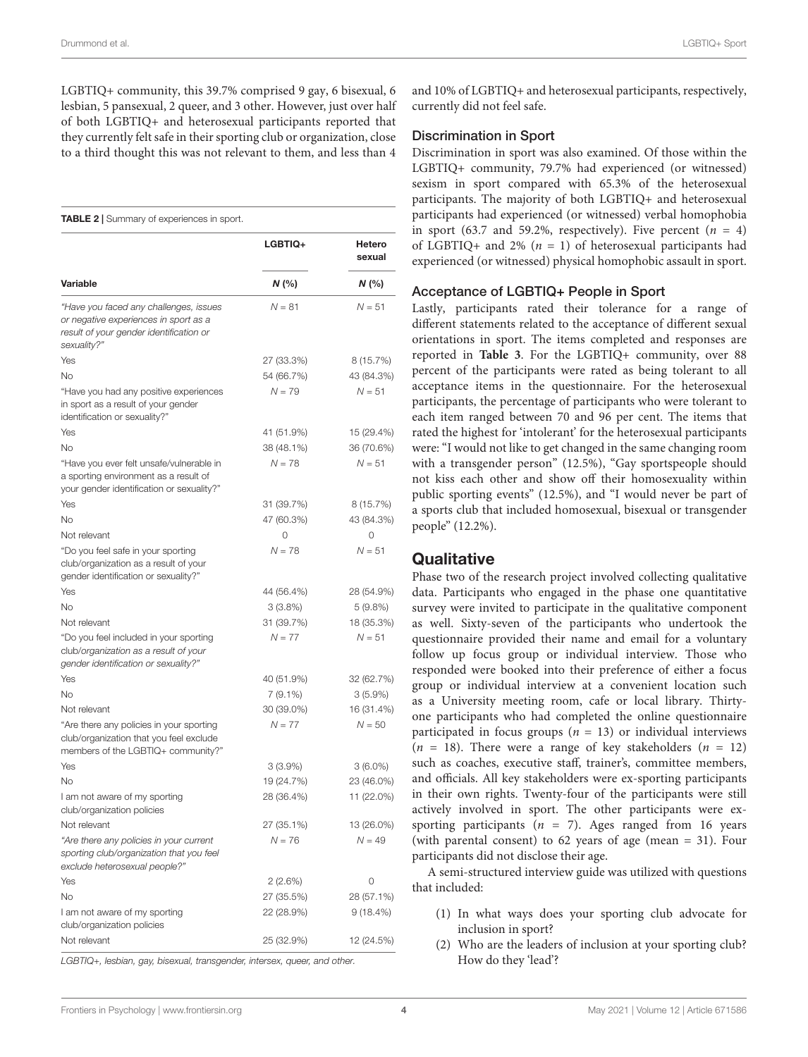Drummond et al. LGBTIQ+ Sport

LGBTIQ+ community, this 39.7% comprised 9 gay, 6 bisexual, 6 lesbian, 5 pansexual, 2 queer, and 3 other. However, just over half of both LGBTIQ+ and heterosexual participants reported that they currently felt safe in their sporting club or organization, close to a third thought this was not relevant to them, and less than 4

<span id="page-3-0"></span>TABLE 2 | Summary of experiences in sport.

|                                                                                                                                           | <b>LGBTIQ+</b> | Hetero<br>sexual |  |
|-------------------------------------------------------------------------------------------------------------------------------------------|----------------|------------------|--|
| Variable                                                                                                                                  | N (%)          | N(%              |  |
| "Have you faced any challenges, issues<br>or negative experiences in sport as a<br>result of your gender identification or<br>sexuality?" | $N = 81$       | $N = 51$         |  |
| Yes                                                                                                                                       | 27 (33.3%)     | 8 (15.7%)        |  |
| No                                                                                                                                        | 54 (66.7%)     | 43 (84.3%)       |  |
| "Have you had any positive experiences<br>in sport as a result of your gender<br>identification or sexuality?"                            | $N = 79$       | $N = 51$         |  |
| Yes                                                                                                                                       | 41 (51.9%)     | 15 (29.4%)       |  |
| <b>No</b>                                                                                                                                 | 38 (48.1%)     | 36 (70.6%)       |  |
| "Have you ever felt unsafe/vulnerable in<br>a sporting environment as a result of<br>your gender identification or sexuality?"            | $N = 78$       | $N = 51$         |  |
| Yes                                                                                                                                       | 31 (39.7%)     | 8 (15.7%)        |  |
| <b>No</b>                                                                                                                                 | 47 (60.3%)     | 43 (84.3%)       |  |
| Not relevant                                                                                                                              | 0              | 0                |  |
| "Do you feel safe in your sporting<br>club/organization as a result of your<br>gender identification or sexuality?"                       | $N = 78$       | $N = 51$         |  |
| Yes                                                                                                                                       | 44 (56.4%)     | 28 (54.9%)       |  |
| <b>No</b>                                                                                                                                 | 3(3.8%)        | 5 (9.8%)         |  |
| Not relevant                                                                                                                              | 31 (39.7%)     | 18 (35.3%)       |  |
| "Do you feel included in your sporting<br>club/organization as a result of your<br>gender identification or sexuality?"                   | $N = 77$       | $N = 51$         |  |
| Yes                                                                                                                                       | 40 (51.9%)     | 32 (62.7%)       |  |
| No                                                                                                                                        | 7 (9.1%)       | $3(5.9\%)$       |  |
| Not relevant                                                                                                                              | 30 (39.0%)     | 16 (31.4%)       |  |
| "Are there any policies in your sporting<br>club/organization that you feel exclude<br>members of the LGBTIQ+ community?"                 | $N = 77$       | $N = 50$         |  |
| Yes                                                                                                                                       | 3 (3.9%)       | $3(6.0\%)$       |  |
| <b>No</b>                                                                                                                                 | 19 (24.7%)     | 23 (46.0%)       |  |
| I am not aware of my sporting<br>club/organization policies                                                                               | 28 (36.4%)     | 11 (22.0%)       |  |
| Not relevant                                                                                                                              | 27 (35.1%)     | 13 (26.0%)       |  |
| "Are there any policies in your current<br>sporting club/organization that you feel<br>exclude heterosexual people?"                      | $N = 76$       | $N = 49$         |  |
| Yes                                                                                                                                       | 2(2.6%)        | 0                |  |
| <b>No</b>                                                                                                                                 | 27 (35.5%)     | 28 (57.1%)       |  |
| I am not aware of my sporting<br>club/organization policies                                                                               | 22 (28.9%)     | $9(18.4\%)$      |  |
| Not relevant                                                                                                                              | 25 (32.9%)     | 12 (24.5%)       |  |

LGBTIQ+, lesbian, gay, bisexual, transgender, intersex, queer, and other.

and 10% of LGBTIQ+ and heterosexual participants, respectively, currently did not feel safe.

#### Discrimination in Sport

Discrimination in sport was also examined. Of those within the LGBTIQ+ community, 79.7% had experienced (or witnessed) sexism in sport compared with 65.3% of the heterosexual participants. The majority of both LGBTIQ+ and heterosexual participants had experienced (or witnessed) verbal homophobia in sport (63.7 and 59.2%, respectively). Five percent ( $n = 4$ ) of LGBTIQ+ and 2% ( $n = 1$ ) of heterosexual participants had experienced (or witnessed) physical homophobic assault in sport.

## Acceptance of LGBTIQ+ People in Sport

Lastly, participants rated their tolerance for a range of different statements related to the acceptance of different sexual orientations in sport. The items completed and responses are reported in **[Table 3](#page-5-0)**. For the LGBTIQ+ community, over 88 percent of the participants were rated as being tolerant to all acceptance items in the questionnaire. For the heterosexual participants, the percentage of participants who were tolerant to each item ranged between 70 and 96 per cent. The items that rated the highest for 'intolerant' for the heterosexual participants were: "I would not like to get changed in the same changing room with a transgender person" (12.5%), "Gay sportspeople should not kiss each other and show off their homosexuality within public sporting events" (12.5%), and "I would never be part of a sports club that included homosexual, bisexual or transgender people" (12.2%).

# **Qualitative**

Phase two of the research project involved collecting qualitative data. Participants who engaged in the phase one quantitative survey were invited to participate in the qualitative component as well. Sixty-seven of the participants who undertook the questionnaire provided their name and email for a voluntary follow up focus group or individual interview. Those who responded were booked into their preference of either a focus group or individual interview at a convenient location such as a University meeting room, cafe or local library. Thirtyone participants who had completed the online questionnaire participated in focus groups ( $n = 13$ ) or individual interviews  $(n = 18)$ . There were a range of key stakeholders  $(n = 12)$ such as coaches, executive staff, trainer's, committee members, and officials. All key stakeholders were ex-sporting participants in their own rights. Twenty-four of the participants were still actively involved in sport. The other participants were exsporting participants ( $n = 7$ ). Ages ranged from 16 years (with parental consent) to 62 years of age (mean = 31). Four participants did not disclose their age.

A semi-structured interview guide was utilized with questions that included:

- (1) In what ways does your sporting club advocate for inclusion in sport?
- (2) Who are the leaders of inclusion at your sporting club? How do they 'lead'?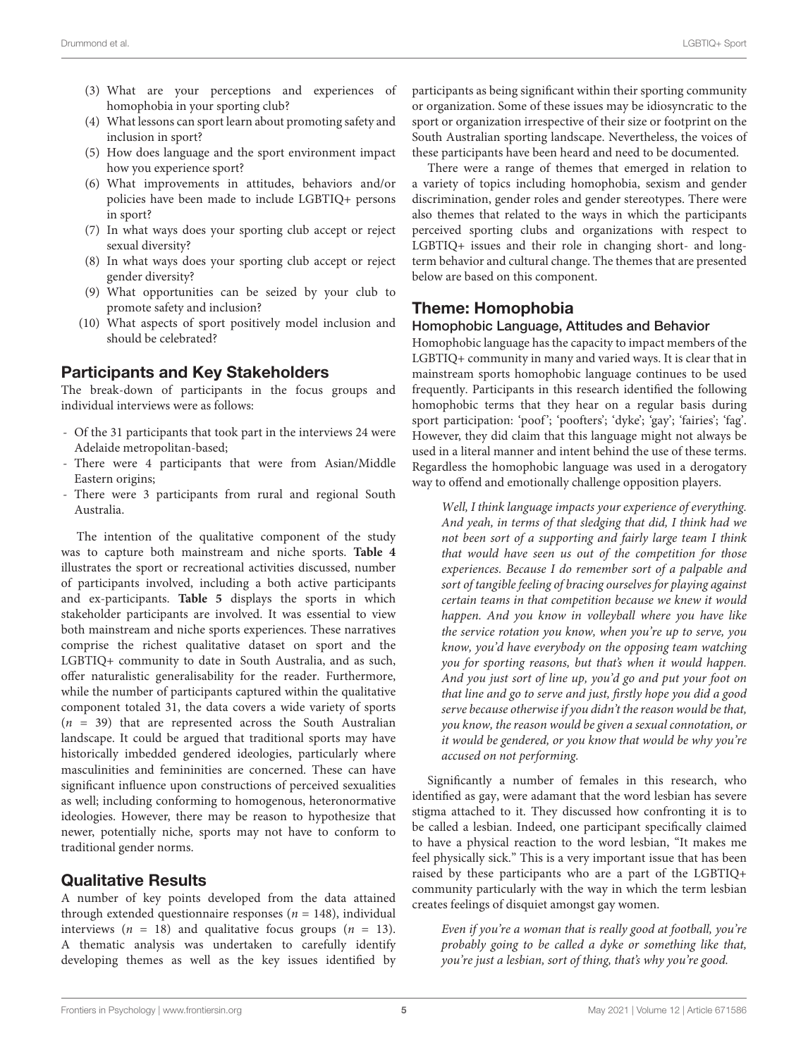- (3) What are your perceptions and experiences of homophobia in your sporting club?
- (4) What lessons can sport learn about promoting safety and inclusion in sport?
- (5) How does language and the sport environment impact how you experience sport?
- (6) What improvements in attitudes, behaviors and/or policies have been made to include LGBTIQ+ persons in sport?
- (7) In what ways does your sporting club accept or reject sexual diversity?
- (8) In what ways does your sporting club accept or reject gender diversity?
- (9) What opportunities can be seized by your club to promote safety and inclusion?
- (10) What aspects of sport positively model inclusion and should be celebrated?

## Participants and Key Stakeholders

The break-down of participants in the focus groups and individual interviews were as follows:

- Of the 31 participants that took part in the interviews 24 were Adelaide metropolitan-based;
- There were 4 participants that were from Asian/Middle Eastern origins;
- There were 3 participants from rural and regional South Australia.

The intention of the qualitative component of the study was to capture both mainstream and niche sports. **[Table 4](#page-6-0)** illustrates the sport or recreational activities discussed, number of participants involved, including a both active participants and ex-participants. **[Table 5](#page-6-1)** displays the sports in which stakeholder participants are involved. It was essential to view both mainstream and niche sports experiences. These narratives comprise the richest qualitative dataset on sport and the LGBTIQ+ community to date in South Australia, and as such, offer naturalistic generalisability for the reader. Furthermore, while the number of participants captured within the qualitative component totaled 31, the data covers a wide variety of sports  $(n = 39)$  that are represented across the South Australian landscape. It could be argued that traditional sports may have historically imbedded gendered ideologies, particularly where masculinities and femininities are concerned. These can have significant influence upon constructions of perceived sexualities as well; including conforming to homogenous, heteronormative ideologies. However, there may be reason to hypothesize that newer, potentially niche, sports may not have to conform to traditional gender norms.

# Qualitative Results

A number of key points developed from the data attained through extended questionnaire responses ( $n = 148$ ), individual interviews ( $n = 18$ ) and qualitative focus groups ( $n = 13$ ). A thematic analysis was undertaken to carefully identify developing themes as well as the key issues identified by participants as being significant within their sporting community or organization. Some of these issues may be idiosyncratic to the sport or organization irrespective of their size or footprint on the South Australian sporting landscape. Nevertheless, the voices of these participants have been heard and need to be documented.

There were a range of themes that emerged in relation to a variety of topics including homophobia, sexism and gender discrimination, gender roles and gender stereotypes. There were also themes that related to the ways in which the participants perceived sporting clubs and organizations with respect to LGBTIQ+ issues and their role in changing short- and longterm behavior and cultural change. The themes that are presented below are based on this component.

# Theme: Homophobia

## Homophobic Language, Attitudes and Behavior

Homophobic language has the capacity to impact members of the LGBTIQ+ community in many and varied ways. It is clear that in mainstream sports homophobic language continues to be used frequently. Participants in this research identified the following homophobic terms that they hear on a regular basis during sport participation: 'poof'; 'poofters'; 'dyke'; 'gay'; 'fairies'; 'fag'. However, they did claim that this language might not always be used in a literal manner and intent behind the use of these terms. Regardless the homophobic language was used in a derogatory way to offend and emotionally challenge opposition players.

Well, I think language impacts your experience of everything. And yeah, in terms of that sledging that did, I think had we not been sort of a supporting and fairly large team I think that would have seen us out of the competition for those experiences. Because I do remember sort of a palpable and sort of tangible feeling of bracing ourselves for playing against certain teams in that competition because we knew it would happen. And you know in volleyball where you have like the service rotation you know, when you're up to serve, you know, you'd have everybody on the opposing team watching you for sporting reasons, but that's when it would happen. And you just sort of line up, you'd go and put your foot on that line and go to serve and just, firstly hope you did a good serve because otherwise if you didn't the reason would be that, you know, the reason would be given a sexual connotation, or it would be gendered, or you know that would be why you're accused on not performing.

Significantly a number of females in this research, who identified as gay, were adamant that the word lesbian has severe stigma attached to it. They discussed how confronting it is to be called a lesbian. Indeed, one participant specifically claimed to have a physical reaction to the word lesbian, "It makes me feel physically sick." This is a very important issue that has been raised by these participants who are a part of the LGBTIQ+ community particularly with the way in which the term lesbian creates feelings of disquiet amongst gay women.

Even if you're a woman that is really good at football, you're probably going to be called a dyke or something like that, you're just a lesbian, sort of thing, that's why you're good.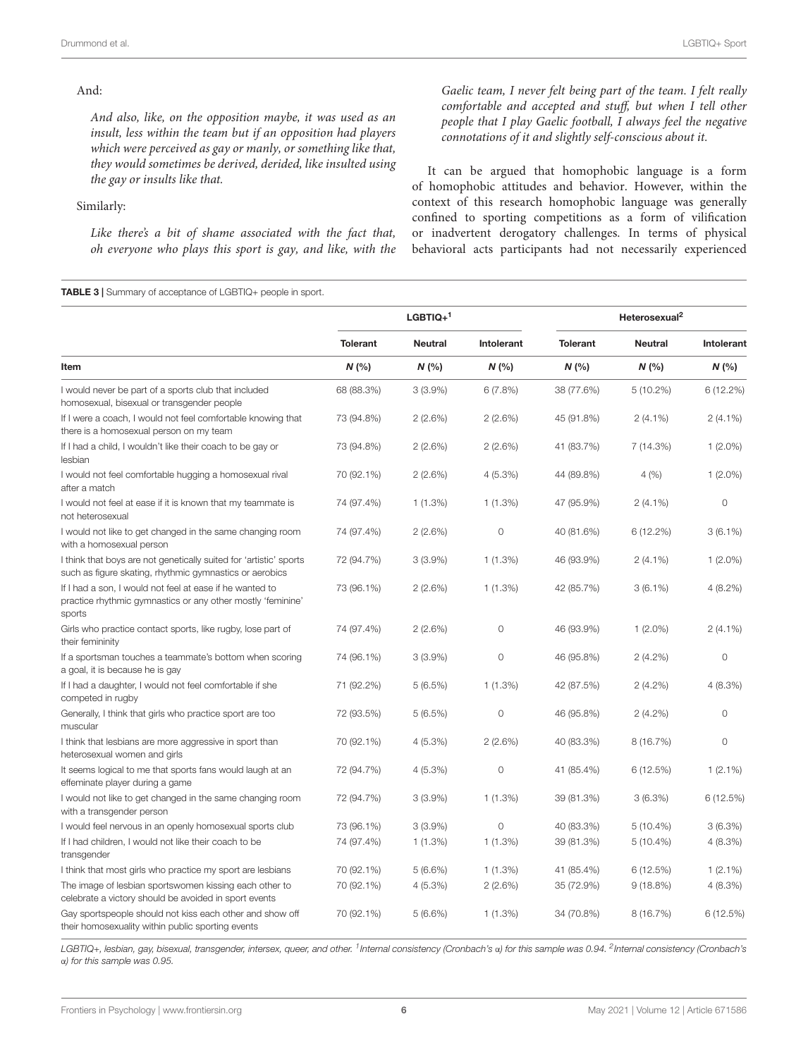#### And:

And also, like, on the opposition maybe, it was used as an insult, less within the team but if an opposition had players which were perceived as gay or manly, or something like that, they would sometimes be derived, derided, like insulted using the gay or insults like that.

#### Similarly:

Like there's a bit of shame associated with the fact that, oh everyone who plays this sport is gay, and like, with the

## Gaelic team, I never felt being part of the team. I felt really comfortable and accepted and stuff, but when I tell other people that I play Gaelic football, I always feel the negative connotations of it and slightly self-conscious about it.

It can be argued that homophobic language is a form of homophobic attitudes and behavior. However, within the context of this research homophobic language was generally confined to sporting competitions as a form of vilification or inadvertent derogatory challenges. In terms of physical behavioral acts participants had not necessarily experienced

<span id="page-5-0"></span>TABLE 3 | Summary of acceptance of LGBTIQ+ people in sport.

|                                                                                                                                   | $L$ GBTIQ+ <sup>1</sup> |                |                | Heterosexual <sup>2</sup> |                |            |
|-----------------------------------------------------------------------------------------------------------------------------------|-------------------------|----------------|----------------|---------------------------|----------------|------------|
|                                                                                                                                   | <b>Tolerant</b>         | <b>Neutral</b> | Intolerant     | <b>Tolerant</b>           | <b>Neutral</b> | Intolerant |
| Item                                                                                                                              | N(%                     | N(%            | N(%            | N(%                       | $N$ (%)        | N(%        |
| I would never be part of a sports club that included<br>homosexual, bisexual or transgender people                                | 68 (88.3%)              | $3(3.9\%)$     | 6(7.8%)        | 38 (77.6%)                | $5(10.2\%)$    | 6(12.2%)   |
| If I were a coach, I would not feel comfortable knowing that<br>there is a homosexual person on my team                           | 73 (94.8%)              | 2(2.6%)        | 2(2.6%)        | 45 (91.8%)                | $2(4.1\%)$     | $2(4.1\%)$ |
| If I had a child, I wouldn't like their coach to be gay or<br>lesbian                                                             | 73 (94.8%)              | 2(2.6%)        | 2(2.6%)        | 41 (83.7%)                | 7 (14.3%)      | $1(2.0\%)$ |
| I would not feel comfortable hugging a homosexual rival<br>after a match                                                          | 70 (92.1%)              | 2(2.6%)        | 4(5.3%)        | 44 (89.8%)                | 4(%)           | $1(2.0\%)$ |
| I would not feel at ease if it is known that my teammate is<br>not heterosexual                                                   | 74 (97.4%)              | 1(1.3%)        | $1(1.3\%)$     | 47 (95.9%)                | $2(4.1\%)$     | 0          |
| I would not like to get changed in the same changing room<br>with a homosexual person                                             | 74 (97.4%)              | 2(2.6%)        | $\overline{0}$ | 40 (81.6%)                | 6(12.2%)       | $3(6.1\%)$ |
| I think that boys are not genetically suited for 'artistic' sports<br>such as figure skating, rhythmic gymnastics or aerobics     | 72 (94.7%)              | 3(3.9%)        | 1(1.3%)        | 46 (93.9%)                | $2(4.1\%)$     | $1(2.0\%)$ |
| If I had a son, I would not feel at ease if he wanted to<br>practice rhythmic gymnastics or any other mostly 'feminine'<br>sports | 73 (96.1%)              | 2(2.6%)        | $1(1.3\%)$     | 42 (85.7%)                | $3(6.1\%)$     | $4(8.2\%)$ |
| Girls who practice contact sports, like rugby, lose part of<br>their femininity                                                   | 74 (97.4%)              | 2(2.6%)        | $\circ$        | 46 (93.9%)                | $1(2.0\%)$     | $2(4.1\%)$ |
| If a sportsman touches a teammate's bottom when scoring<br>a goal, it is because he is gay                                        | 74 (96.1%)              | 3(3.9%)        | $\circ$        | 46 (95.8%)                | 2(4.2%)        | $\circ$    |
| If I had a daughter, I would not feel comfortable if she<br>competed in rugby                                                     | 71 (92.2%)              | 5(6.5%)        | $1(1.3\%)$     | 42 (87.5%)                | $2(4.2\%)$     | 4(8.3%)    |
| Generally, I think that girls who practice sport are too<br>muscular                                                              | 72 (93.5%)              | 5(6.5%)        | $\circ$        | 46 (95.8%)                | $2(4.2\%)$     | $\circ$    |
| I think that lesbians are more aggressive in sport than<br>heterosexual women and girls                                           | 70 (92.1%)              | 4(5.3%)        | 2(2.6%)        | 40 (83.3%)                | 8 (16.7%)      | 0          |
| It seems logical to me that sports fans would laugh at an<br>effeminate player during a game                                      | 72 (94.7%)              | 4(5.3%)        | $\circ$        | 41 (85.4%)                | 6(12.5%)       | $1(2.1\%)$ |
| I would not like to get changed in the same changing room<br>with a transgender person                                            | 72 (94.7%)              | 3(3.9%)        | 1(1.3%)        | 39 (81.3%)                | 3(6.3%)        | 6(12.5%)   |
| I would feel nervous in an openly homosexual sports club                                                                          | 73 (96.1%)              | 3(3.9%)        | $\circ$        | 40 (83.3%)                | $5(10.4\%)$    | 3(6.3%)    |
| If I had children, I would not like their coach to be<br>transgender                                                              | 74 (97.4%)              | 1(1.3%)        | 1(1.3%)        | 39 (81.3%)                | $5(10.4\%)$    | $4(8.3\%)$ |
| I think that most girls who practice my sport are lesbians                                                                        | 70 (92.1%)              | $5(6.6\%)$     | $1(1.3\%)$     | 41 (85.4%)                | 6(12.5%)       | $1(2.1\%)$ |
| The image of lesbian sportswomen kissing each other to<br>celebrate a victory should be avoided in sport events                   | 70 (92.1%)              | 4(5.3%)        | 2(2.6%)        | 35 (72.9%)                | 9(18.8%)       | 4(8.3%)    |
| Gay sportspeople should not kiss each other and show off<br>their homosexuality within public sporting events                     | 70 (92.1%)              | 5(6.6%)        | 1(1.3%)        | 34 (70.8%)                | 8(16.7%)       | 6(12.5%)   |

LGBTIQ+, lesbian, gay, bisexual, transgender, intersex, queer, and other. <sup>1</sup>Internal consistency (Cronbach's «) for this sample was 0.94. <sup>2</sup>Internal consistency (Cronbach's α) for this sample was 0.95.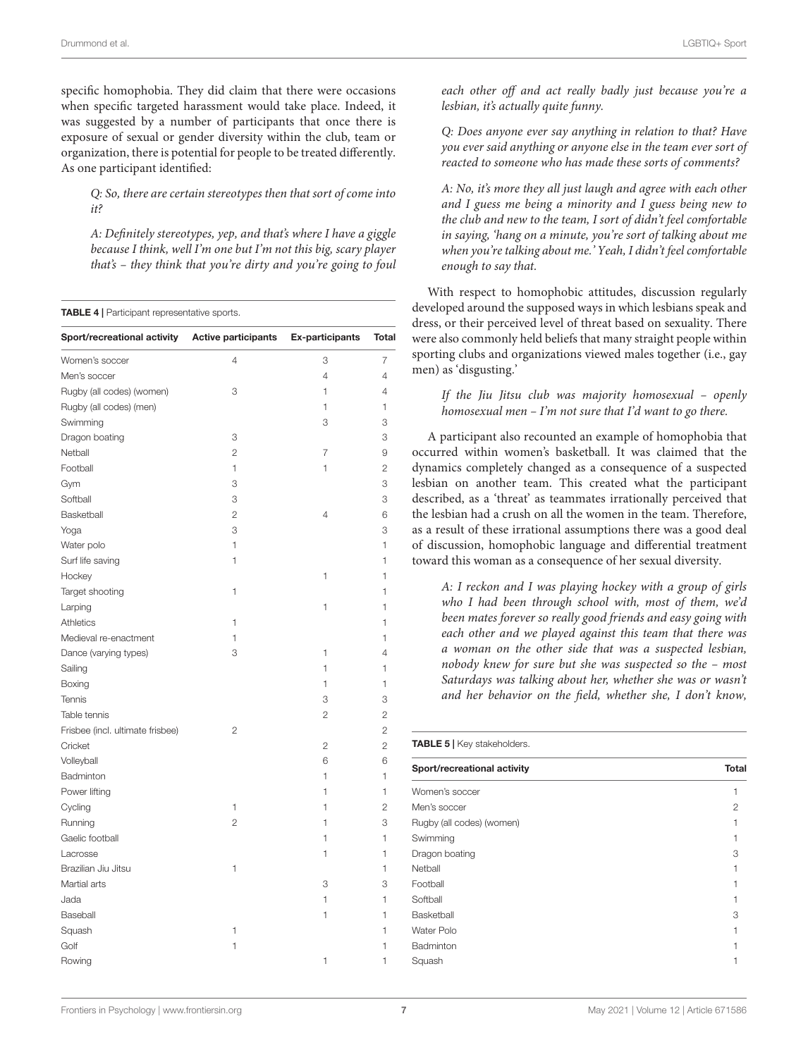specific homophobia. They did claim that there were occasions when specific targeted harassment would take place. Indeed, it was suggested by a number of participants that once there is exposure of sexual or gender diversity within the club, team or organization, there is potential for people to be treated differently. As one participant identified:

Q: So, there are certain stereotypes then that sort of come into it?

A: Definitely stereotypes, yep, and that's where I have a giggle because I think, well I'm one but I'm not this big, scary player that's – they think that you're dirty and you're going to foul

<span id="page-6-0"></span>

|  | <b>TABLE 4</b>   Participant representative sports. |  |
|--|-----------------------------------------------------|--|
|  |                                                     |  |

| Sport/recreational activity Active participants |                | <b>Ex-participants</b> | Total          |
|-------------------------------------------------|----------------|------------------------|----------------|
| Women's soccer                                  | 4              | 3                      | 7              |
| Men's soccer                                    |                | 4                      | 4              |
| Rugby (all codes) (women)                       | 3              | 1                      | 4              |
| Rugby (all codes) (men)                         |                | $\mathbf{1}$           | $\mathbf{1}$   |
| Swimming                                        |                | 3                      | 3              |
| Dragon boating                                  | 3              |                        | 3              |
| Netball                                         | $\overline{2}$ | $\overline{7}$         | 9              |
| Football                                        | 1              | 1                      | $\overline{c}$ |
| Gym                                             | 3              |                        | 3              |
| Softball                                        | 3              |                        | 3              |
| Basketball                                      | 2              | 4                      | 6              |
| Yoga                                            | 3              |                        | 3              |
| Water polo                                      | 1              |                        | 1              |
| Surf life saving                                | 1              |                        | 1              |
| Hockey                                          |                | 1                      | 1              |
| Target shooting                                 | 1              |                        | 1              |
| Larping                                         |                | 1                      | 1              |
| Athletics                                       | 1              |                        | 1              |
| Medieval re-enactment                           | 1              |                        | 1              |
| Dance (varying types)                           | 3              | 1                      | 4              |
| Sailing                                         |                | 1                      | 1              |
| Boxing                                          |                | 1                      | 1              |
| Tennis                                          |                | 3                      | 3              |
| Table tennis                                    |                | $\overline{2}$         | $\overline{c}$ |
| Frisbee (incl. ultimate frisbee)                | $\overline{2}$ |                        | $\overline{c}$ |
| Cricket                                         |                | $\overline{c}$         | $\overline{2}$ |
| Volleyball                                      |                | 6                      | 6              |
| Badminton                                       |                | 1                      | 1              |
| Power lifting                                   |                | 1                      | 1              |
| Cycling                                         | 1              | 1                      | 2              |
| Running                                         | $\overline{c}$ | 1                      | 3              |
| Gaelic football                                 |                | 1                      | 1              |
| Lacrosse                                        |                | 1                      | 1              |
| Brazilian Jiu Jitsu                             | 1              |                        | 1              |
| Martial arts                                    |                | 3                      | 3              |
| Jada                                            |                | 1                      | 1              |
| Baseball                                        |                | 1                      | 1              |
| Squash                                          | 1              |                        | 1              |
| Golf                                            | 1              |                        | 1              |
| Rowing                                          |                | 1                      | 1              |

each other off and act really badly just because you're a lesbian, it's actually quite funny.

Q: Does anyone ever say anything in relation to that? Have you ever said anything or anyone else in the team ever sort of reacted to someone who has made these sorts of comments?

A: No, it's more they all just laugh and agree with each other and I guess me being a minority and I guess being new to the club and new to the team, I sort of didn't feel comfortable in saying, 'hang on a minute, you're sort of talking about me when you're talking about me.' Yeah, I didn't feel comfortable enough to say that.

With respect to homophobic attitudes, discussion regularly developed around the supposed ways in which lesbians speak and dress, or their perceived level of threat based on sexuality. There were also commonly held beliefs that many straight people within sporting clubs and organizations viewed males together (i.e., gay men) as 'disgusting.'

#### If the Jiu Jitsu club was majority homosexual – openly homosexual men – I'm not sure that I'd want to go there.

A participant also recounted an example of homophobia that occurred within women's basketball. It was claimed that the dynamics completely changed as a consequence of a suspected lesbian on another team. This created what the participant described, as a 'threat' as teammates irrationally perceived that the lesbian had a crush on all the women in the team. Therefore, as a result of these irrational assumptions there was a good deal of discussion, homophobic language and differential treatment toward this woman as a consequence of her sexual diversity.

A: I reckon and I was playing hockey with a group of girls who I had been through school with, most of them, we'd been mates forever so really good friends and easy going with each other and we played against this team that there was a woman on the other side that was a suspected lesbian, nobody knew for sure but she was suspected so the – most Saturdays was talking about her, whether she was or wasn't and her behavior on the field, whether she, I don't know,

<span id="page-6-1"></span>

| <b>TABLE 5</b>   Key stakeholders. |              |  |
|------------------------------------|--------------|--|
| Sport/recreational activity        | <b>Total</b> |  |
| Women's soccer                     |              |  |
| Men's soccer                       | 2            |  |
| Rugby (all codes) (women)          |              |  |
| Swimming                           |              |  |
| Dragon boating                     | 3            |  |
| Netball                            |              |  |
| Football                           |              |  |
| Softball                           |              |  |
| Basketball                         | 3            |  |
| Water Polo                         |              |  |
| Badminton                          |              |  |
| Squash                             |              |  |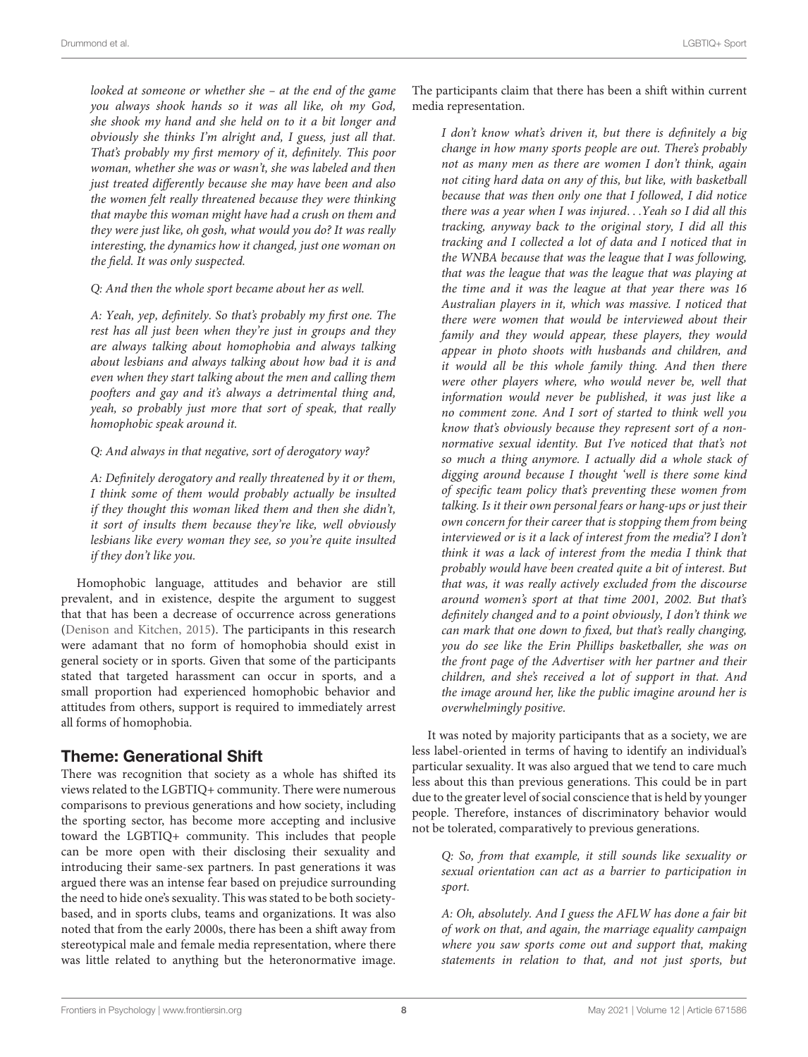looked at someone or whether she – at the end of the game you always shook hands so it was all like, oh my God, she shook my hand and she held on to it a bit longer and obviously she thinks I'm alright and, I guess, just all that. That's probably my first memory of it, definitely. This poor woman, whether she was or wasn't, she was labeled and then just treated differently because she may have been and also the women felt really threatened because they were thinking that maybe this woman might have had a crush on them and they were just like, oh gosh, what would you do? It was really interesting, the dynamics how it changed, just one woman on the field. It was only suspected.

Q: And then the whole sport became about her as well.

A: Yeah, yep, definitely. So that's probably my first one. The rest has all just been when they're just in groups and they are always talking about homophobia and always talking about lesbians and always talking about how bad it is and even when they start talking about the men and calling them poofters and gay and it's always a detrimental thing and, yeah, so probably just more that sort of speak, that really homophobic speak around it.

Q: And always in that negative, sort of derogatory way?

A: Definitely derogatory and really threatened by it or them, I think some of them would probably actually be insulted if they thought this woman liked them and then she didn't, it sort of insults them because they're like, well obviously lesbians like every woman they see, so you're quite insulted if they don't like you.

Homophobic language, attitudes and behavior are still prevalent, and in existence, despite the argument to suggest that that has been a decrease of occurrence across generations [\(Denison and Kitchen,](#page-14-15) [2015\)](#page-14-15). The participants in this research were adamant that no form of homophobia should exist in general society or in sports. Given that some of the participants stated that targeted harassment can occur in sports, and a small proportion had experienced homophobic behavior and attitudes from others, support is required to immediately arrest all forms of homophobia.

# Theme: Generational Shift

There was recognition that society as a whole has shifted its views related to the LGBTIQ+ community. There were numerous comparisons to previous generations and how society, including the sporting sector, has become more accepting and inclusive toward the LGBTIQ+ community. This includes that people can be more open with their disclosing their sexuality and introducing their same-sex partners. In past generations it was argued there was an intense fear based on prejudice surrounding the need to hide one's sexuality. This was stated to be both societybased, and in sports clubs, teams and organizations. It was also noted that from the early 2000s, there has been a shift away from stereotypical male and female media representation, where there was little related to anything but the heteronormative image. The participants claim that there has been a shift within current media representation.

I don't know what's driven it, but there is definitely a big change in how many sports people are out. There's probably not as many men as there are women I don't think, again not citing hard data on any of this, but like, with basketball because that was then only one that I followed, I did notice there was a year when I was injured. . .Yeah so I did all this tracking, anyway back to the original story, I did all this tracking and I collected a lot of data and I noticed that in the WNBA because that was the league that I was following, that was the league that was the league that was playing at the time and it was the league at that year there was 16 Australian players in it, which was massive. I noticed that there were women that would be interviewed about their family and they would appear, these players, they would appear in photo shoots with husbands and children, and it would all be this whole family thing. And then there were other players where, who would never be, well that information would never be published, it was just like a no comment zone. And I sort of started to think well you know that's obviously because they represent sort of a nonnormative sexual identity. But I've noticed that that's not so much a thing anymore. I actually did a whole stack of digging around because I thought 'well is there some kind of specific team policy that's preventing these women from talking. Is it their own personal fears or hang-ups or just their own concern for their career that is stopping them from being interviewed or is it a lack of interest from the media'? I don't think it was a lack of interest from the media I think that probably would have been created quite a bit of interest. But that was, it was really actively excluded from the discourse around women's sport at that time 2001, 2002. But that's definitely changed and to a point obviously, I don't think we can mark that one down to fixed, but that's really changing, you do see like the Erin Phillips basketballer, she was on the front page of the Advertiser with her partner and their children, and she's received a lot of support in that. And the image around her, like the public imagine around her is overwhelmingly positive.

It was noted by majority participants that as a society, we are less label-oriented in terms of having to identify an individual's particular sexuality. It was also argued that we tend to care much less about this than previous generations. This could be in part due to the greater level of social conscience that is held by younger people. Therefore, instances of discriminatory behavior would not be tolerated, comparatively to previous generations.

Q: So, from that example, it still sounds like sexuality or sexual orientation can act as a barrier to participation in sport.

A: Oh, absolutely. And I guess the AFLW has done a fair bit of work on that, and again, the marriage equality campaign where you saw sports come out and support that, making statements in relation to that, and not just sports, but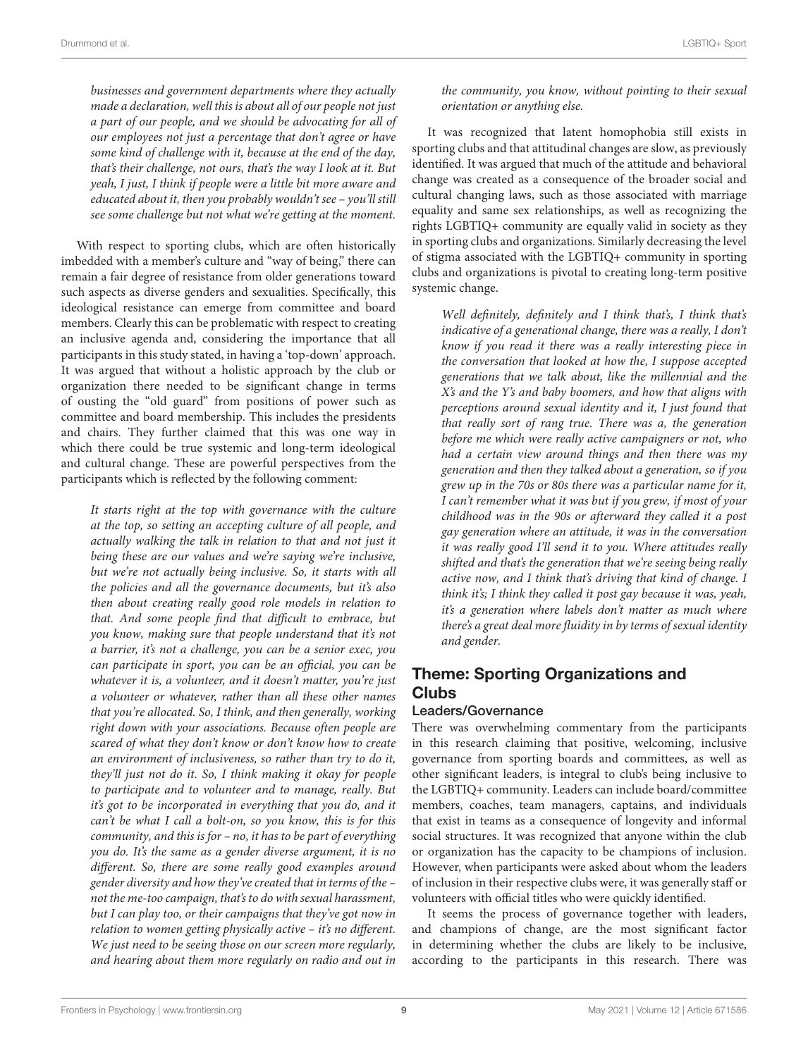businesses and government departments where they actually made a declaration, well this is about all of our people not just a part of our people, and we should be advocating for all of our employees not just a percentage that don't agree or have some kind of challenge with it, because at the end of the day, that's their challenge, not ours, that's the way I look at it. But yeah, I just, I think if people were a little bit more aware and educated about it, then you probably wouldn't see – you'll still see some challenge but not what we're getting at the moment.

With respect to sporting clubs, which are often historically imbedded with a member's culture and "way of being," there can remain a fair degree of resistance from older generations toward such aspects as diverse genders and sexualities. Specifically, this ideological resistance can emerge from committee and board members. Clearly this can be problematic with respect to creating an inclusive agenda and, considering the importance that all participants in this study stated, in having a 'top-down' approach. It was argued that without a holistic approach by the club or organization there needed to be significant change in terms of ousting the "old guard" from positions of power such as committee and board membership. This includes the presidents and chairs. They further claimed that this was one way in which there could be true systemic and long-term ideological and cultural change. These are powerful perspectives from the participants which is reflected by the following comment:

It starts right at the top with governance with the culture at the top, so setting an accepting culture of all people, and actually walking the talk in relation to that and not just it being these are our values and we're saying we're inclusive, but we're not actually being inclusive. So, it starts with all the policies and all the governance documents, but it's also then about creating really good role models in relation to that. And some people find that difficult to embrace, but you know, making sure that people understand that it's not a barrier, it's not a challenge, you can be a senior exec, you can participate in sport, you can be an official, you can be whatever it is, a volunteer, and it doesn't matter, you're just a volunteer or whatever, rather than all these other names that you're allocated. So, I think, and then generally, working right down with your associations. Because often people are scared of what they don't know or don't know how to create an environment of inclusiveness, so rather than try to do it, they'll just not do it. So, I think making it okay for people to participate and to volunteer and to manage, really. But it's got to be incorporated in everything that you do, and it can't be what I call a bolt-on, so you know, this is for this community, and this is for – no, it has to be part of everything you do. It's the same as a gender diverse argument, it is no different. So, there are some really good examples around gender diversity and how they've created that in terms of the – not the me-too campaign, that's to do with sexual harassment, but I can play too, or their campaigns that they've got now in relation to women getting physically active – it's no different. We just need to be seeing those on our screen more regularly, and hearing about them more regularly on radio and out in

the community, you know, without pointing to their sexual orientation or anything else.

It was recognized that latent homophobia still exists in sporting clubs and that attitudinal changes are slow, as previously identified. It was argued that much of the attitude and behavioral change was created as a consequence of the broader social and cultural changing laws, such as those associated with marriage equality and same sex relationships, as well as recognizing the rights LGBTIQ+ community are equally valid in society as they in sporting clubs and organizations. Similarly decreasing the level of stigma associated with the LGBTIQ+ community in sporting clubs and organizations is pivotal to creating long-term positive systemic change.

Well definitely, definitely and I think that's, I think that's indicative of a generational change, there was a really, I don't know if you read it there was a really interesting piece in the conversation that looked at how the, I suppose accepted generations that we talk about, like the millennial and the X's and the Y's and baby boomers, and how that aligns with perceptions around sexual identity and it, I just found that that really sort of rang true. There was a, the generation before me which were really active campaigners or not, who had a certain view around things and then there was my generation and then they talked about a generation, so if you grew up in the 70s or 80s there was a particular name for it, I can't remember what it was but if you grew, if most of your childhood was in the 90s or afterward they called it a post gay generation where an attitude, it was in the conversation it was really good I'll send it to you. Where attitudes really shifted and that's the generation that we're seeing being really active now, and I think that's driving that kind of change. I think it's; I think they called it post gay because it was, yeah, it's a generation where labels don't matter as much where there's a great deal more fluidity in by terms of sexual identity and gender.

# Theme: Sporting Organizations and **Clubs**

## Leaders/Governance

There was overwhelming commentary from the participants in this research claiming that positive, welcoming, inclusive governance from sporting boards and committees, as well as other significant leaders, is integral to club's being inclusive to the LGBTIQ+ community. Leaders can include board/committee members, coaches, team managers, captains, and individuals that exist in teams as a consequence of longevity and informal social structures. It was recognized that anyone within the club or organization has the capacity to be champions of inclusion. However, when participants were asked about whom the leaders of inclusion in their respective clubs were, it was generally staff or volunteers with official titles who were quickly identified.

It seems the process of governance together with leaders, and champions of change, are the most significant factor in determining whether the clubs are likely to be inclusive, according to the participants in this research. There was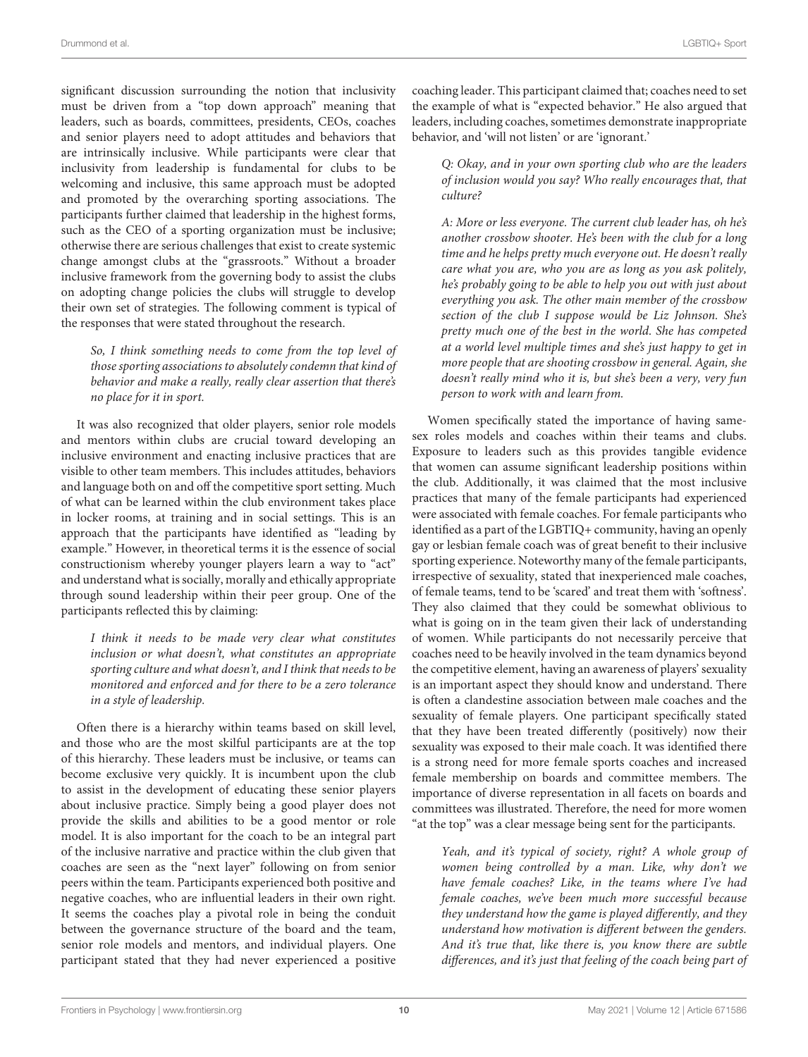significant discussion surrounding the notion that inclusivity must be driven from a "top down approach" meaning that leaders, such as boards, committees, presidents, CEOs, coaches and senior players need to adopt attitudes and behaviors that are intrinsically inclusive. While participants were clear that inclusivity from leadership is fundamental for clubs to be welcoming and inclusive, this same approach must be adopted and promoted by the overarching sporting associations. The participants further claimed that leadership in the highest forms, such as the CEO of a sporting organization must be inclusive; otherwise there are serious challenges that exist to create systemic change amongst clubs at the "grassroots." Without a broader inclusive framework from the governing body to assist the clubs on adopting change policies the clubs will struggle to develop their own set of strategies. The following comment is typical of the responses that were stated throughout the research.

So, I think something needs to come from the top level of those sporting associations to absolutely condemn that kind of behavior and make a really, really clear assertion that there's no place for it in sport.

It was also recognized that older players, senior role models and mentors within clubs are crucial toward developing an inclusive environment and enacting inclusive practices that are visible to other team members. This includes attitudes, behaviors and language both on and off the competitive sport setting. Much of what can be learned within the club environment takes place in locker rooms, at training and in social settings. This is an approach that the participants have identified as "leading by example." However, in theoretical terms it is the essence of social constructionism whereby younger players learn a way to "act" and understand what is socially, morally and ethically appropriate through sound leadership within their peer group. One of the participants reflected this by claiming:

I think it needs to be made very clear what constitutes inclusion or what doesn't, what constitutes an appropriate sporting culture and what doesn't, and I think that needs to be monitored and enforced and for there to be a zero tolerance in a style of leadership.

Often there is a hierarchy within teams based on skill level, and those who are the most skilful participants are at the top of this hierarchy. These leaders must be inclusive, or teams can become exclusive very quickly. It is incumbent upon the club to assist in the development of educating these senior players about inclusive practice. Simply being a good player does not provide the skills and abilities to be a good mentor or role model. It is also important for the coach to be an integral part of the inclusive narrative and practice within the club given that coaches are seen as the "next layer" following on from senior peers within the team. Participants experienced both positive and negative coaches, who are influential leaders in their own right. It seems the coaches play a pivotal role in being the conduit between the governance structure of the board and the team, senior role models and mentors, and individual players. One participant stated that they had never experienced a positive

coaching leader. This participant claimed that; coaches need to set the example of what is "expected behavior." He also argued that leaders, including coaches, sometimes demonstrate inappropriate behavior, and 'will not listen' or are 'ignorant.'

Q: Okay, and in your own sporting club who are the leaders of inclusion would you say? Who really encourages that, that culture?

A: More or less everyone. The current club leader has, oh he's another crossbow shooter. He's been with the club for a long time and he helps pretty much everyone out. He doesn't really care what you are, who you are as long as you ask politely, he's probably going to be able to help you out with just about everything you ask. The other main member of the crossbow section of the club I suppose would be Liz Johnson. She's pretty much one of the best in the world. She has competed at a world level multiple times and she's just happy to get in more people that are shooting crossbow in general. Again, she doesn't really mind who it is, but she's been a very, very fun person to work with and learn from.

Women specifically stated the importance of having samesex roles models and coaches within their teams and clubs. Exposure to leaders such as this provides tangible evidence that women can assume significant leadership positions within the club. Additionally, it was claimed that the most inclusive practices that many of the female participants had experienced were associated with female coaches. For female participants who identified as a part of the LGBTIQ+ community, having an openly gay or lesbian female coach was of great benefit to their inclusive sporting experience. Noteworthy many of the female participants, irrespective of sexuality, stated that inexperienced male coaches, of female teams, tend to be 'scared' and treat them with 'softness'. They also claimed that they could be somewhat oblivious to what is going on in the team given their lack of understanding of women. While participants do not necessarily perceive that coaches need to be heavily involved in the team dynamics beyond the competitive element, having an awareness of players' sexuality is an important aspect they should know and understand. There is often a clandestine association between male coaches and the sexuality of female players. One participant specifically stated that they have been treated differently (positively) now their sexuality was exposed to their male coach. It was identified there is a strong need for more female sports coaches and increased female membership on boards and committee members. The importance of diverse representation in all facets on boards and committees was illustrated. Therefore, the need for more women "at the top" was a clear message being sent for the participants.

Yeah, and it's typical of society, right? A whole group of women being controlled by a man. Like, why don't we have female coaches? Like, in the teams where I've had female coaches, we've been much more successful because they understand how the game is played differently, and they understand how motivation is different between the genders. And it's true that, like there is, you know there are subtle differences, and it's just that feeling of the coach being part of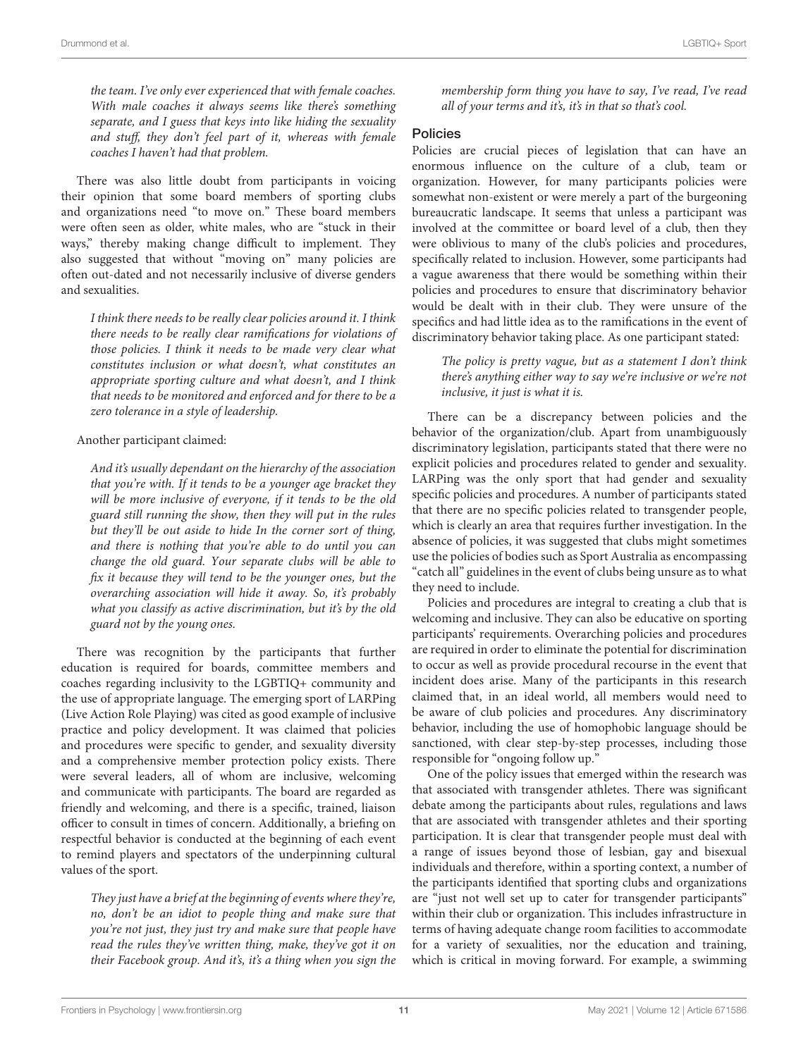the team. I've only ever experienced that with female coaches. With male coaches it always seems like there's something separate, and I guess that keys into like hiding the sexuality and stuff, they don't feel part of it, whereas with female coaches I haven't had that problem.

There was also little doubt from participants in voicing their opinion that some board members of sporting clubs and organizations need "to move on." These board members were often seen as older, white males, who are "stuck in their ways," thereby making change difficult to implement. They also suggested that without "moving on" many policies are often out-dated and not necessarily inclusive of diverse genders and sexualities.

I think there needs to be really clear policies around it. I think there needs to be really clear ramifications for violations of those policies. I think it needs to be made very clear what constitutes inclusion or what doesn't, what constitutes an appropriate sporting culture and what doesn't, and I think that needs to be monitored and enforced and for there to be a zero tolerance in a style of leadership.

#### Another participant claimed:

And it's usually dependant on the hierarchy of the association that you're with. If it tends to be a younger age bracket they will be more inclusive of everyone, if it tends to be the old guard still running the show, then they will put in the rules but they'll be out aside to hide In the corner sort of thing, and there is nothing that you're able to do until you can change the old guard. Your separate clubs will be able to fix it because they will tend to be the younger ones, but the overarching association will hide it away. So, it's probably what you classify as active discrimination, but it's by the old guard not by the young ones.

There was recognition by the participants that further education is required for boards, committee members and coaches regarding inclusivity to the LGBTIQ+ community and the use of appropriate language. The emerging sport of LARPing (Live Action Role Playing) was cited as good example of inclusive practice and policy development. It was claimed that policies and procedures were specific to gender, and sexuality diversity and a comprehensive member protection policy exists. There were several leaders, all of whom are inclusive, welcoming and communicate with participants. The board are regarded as friendly and welcoming, and there is a specific, trained, liaison officer to consult in times of concern. Additionally, a briefing on respectful behavior is conducted at the beginning of each event to remind players and spectators of the underpinning cultural values of the sport.

They just have a brief at the beginning of events where they're, no, don't be an idiot to people thing and make sure that you're not just, they just try and make sure that people have read the rules they've written thing, make, they've got it on their Facebook group. And it's, it's a thing when you sign the

membership form thing you have to say, I've read, I've read all of your terms and it's, it's in that so that's cool.

#### Policies

Policies are crucial pieces of legislation that can have an enormous influence on the culture of a club, team or organization. However, for many participants policies were somewhat non-existent or were merely a part of the burgeoning bureaucratic landscape. It seems that unless a participant was involved at the committee or board level of a club, then they were oblivious to many of the club's policies and procedures, specifically related to inclusion. However, some participants had a vague awareness that there would be something within their policies and procedures to ensure that discriminatory behavior would be dealt with in their club. They were unsure of the specifics and had little idea as to the ramifications in the event of discriminatory behavior taking place. As one participant stated:

#### The policy is pretty vague, but as a statement I don't think there's anything either way to say we're inclusive or we're not inclusive, it just is what it is.

There can be a discrepancy between policies and the behavior of the organization/club. Apart from unambiguously discriminatory legislation, participants stated that there were no explicit policies and procedures related to gender and sexuality. LARPing was the only sport that had gender and sexuality specific policies and procedures. A number of participants stated that there are no specific policies related to transgender people, which is clearly an area that requires further investigation. In the absence of policies, it was suggested that clubs might sometimes use the policies of bodies such as Sport Australia as encompassing "catch all" guidelines in the event of clubs being unsure as to what they need to include.

Policies and procedures are integral to creating a club that is welcoming and inclusive. They can also be educative on sporting participants' requirements. Overarching policies and procedures are required in order to eliminate the potential for discrimination to occur as well as provide procedural recourse in the event that incident does arise. Many of the participants in this research claimed that, in an ideal world, all members would need to be aware of club policies and procedures. Any discriminatory behavior, including the use of homophobic language should be sanctioned, with clear step-by-step processes, including those responsible for "ongoing follow up."

One of the policy issues that emerged within the research was that associated with transgender athletes. There was significant debate among the participants about rules, regulations and laws that are associated with transgender athletes and their sporting participation. It is clear that transgender people must deal with a range of issues beyond those of lesbian, gay and bisexual individuals and therefore, within a sporting context, a number of the participants identified that sporting clubs and organizations are "just not well set up to cater for transgender participants" within their club or organization. This includes infrastructure in terms of having adequate change room facilities to accommodate for a variety of sexualities, nor the education and training, which is critical in moving forward. For example, a swimming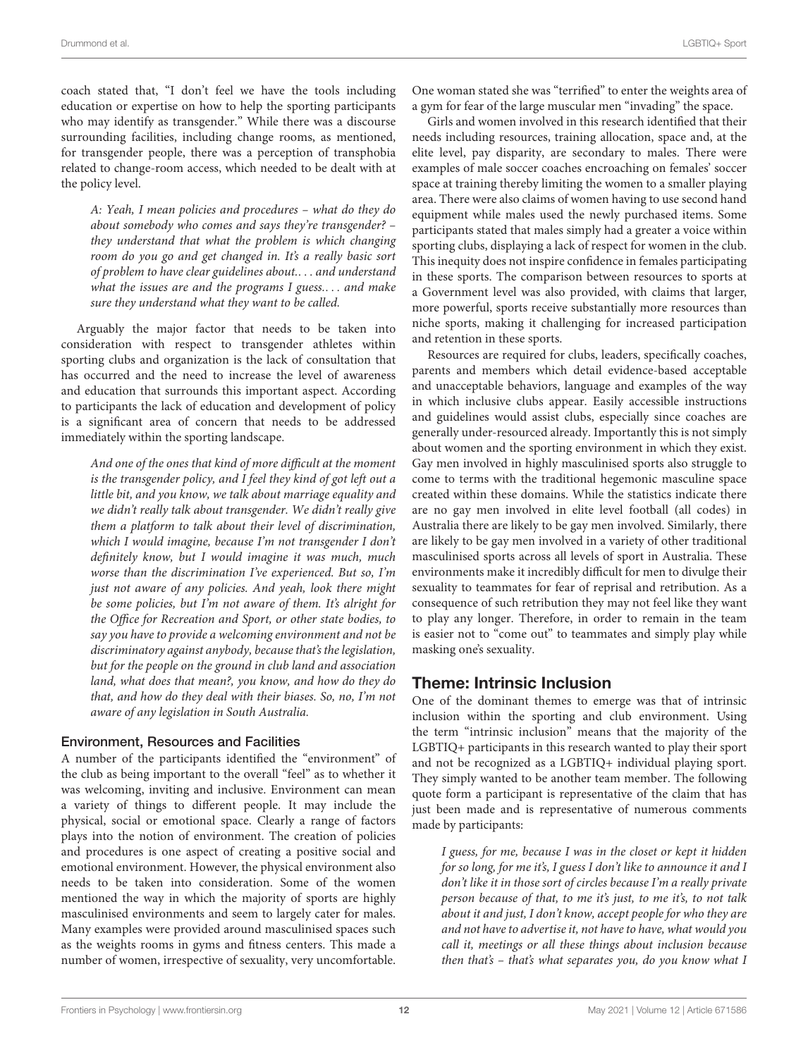coach stated that, "I don't feel we have the tools including education or expertise on how to help the sporting participants who may identify as transgender." While there was a discourse surrounding facilities, including change rooms, as mentioned, for transgender people, there was a perception of transphobia related to change-room access, which needed to be dealt with at the policy level.

A: Yeah, I mean policies and procedures – what do they do about somebody who comes and says they're transgender? – they understand that what the problem is which changing room do you go and get changed in. It's a really basic sort of problem to have clear guidelines about.. . . and understand what the issues are and the programs I guess.... and make sure they understand what they want to be called.

Arguably the major factor that needs to be taken into consideration with respect to transgender athletes within sporting clubs and organization is the lack of consultation that has occurred and the need to increase the level of awareness and education that surrounds this important aspect. According to participants the lack of education and development of policy is a significant area of concern that needs to be addressed immediately within the sporting landscape.

And one of the ones that kind of more difficult at the moment is the transgender policy, and I feel they kind of got left out a little bit, and you know, we talk about marriage equality and we didn't really talk about transgender. We didn't really give them a platform to talk about their level of discrimination, which I would imagine, because I'm not transgender I don't definitely know, but I would imagine it was much, much worse than the discrimination I've experienced. But so, I'm just not aware of any policies. And yeah, look there might be some policies, but I'm not aware of them. It's alright for the Office for Recreation and Sport, or other state bodies, to say you have to provide a welcoming environment and not be discriminatory against anybody, because that's the legislation, but for the people on the ground in club land and association land, what does that mean?, you know, and how do they do that, and how do they deal with their biases. So, no, I'm not aware of any legislation in South Australia.

## Environment, Resources and Facilities

A number of the participants identified the "environment" of the club as being important to the overall "feel" as to whether it was welcoming, inviting and inclusive. Environment can mean a variety of things to different people. It may include the physical, social or emotional space. Clearly a range of factors plays into the notion of environment. The creation of policies and procedures is one aspect of creating a positive social and emotional environment. However, the physical environment also needs to be taken into consideration. Some of the women mentioned the way in which the majority of sports are highly masculinised environments and seem to largely cater for males. Many examples were provided around masculinised spaces such as the weights rooms in gyms and fitness centers. This made a number of women, irrespective of sexuality, very uncomfortable. One woman stated she was "terrified" to enter the weights area of a gym for fear of the large muscular men "invading" the space.

Girls and women involved in this research identified that their needs including resources, training allocation, space and, at the elite level, pay disparity, are secondary to males. There were examples of male soccer coaches encroaching on females' soccer space at training thereby limiting the women to a smaller playing area. There were also claims of women having to use second hand equipment while males used the newly purchased items. Some participants stated that males simply had a greater a voice within sporting clubs, displaying a lack of respect for women in the club. This inequity does not inspire confidence in females participating in these sports. The comparison between resources to sports at a Government level was also provided, with claims that larger, more powerful, sports receive substantially more resources than niche sports, making it challenging for increased participation and retention in these sports.

Resources are required for clubs, leaders, specifically coaches, parents and members which detail evidence-based acceptable and unacceptable behaviors, language and examples of the way in which inclusive clubs appear. Easily accessible instructions and guidelines would assist clubs, especially since coaches are generally under-resourced already. Importantly this is not simply about women and the sporting environment in which they exist. Gay men involved in highly masculinised sports also struggle to come to terms with the traditional hegemonic masculine space created within these domains. While the statistics indicate there are no gay men involved in elite level football (all codes) in Australia there are likely to be gay men involved. Similarly, there are likely to be gay men involved in a variety of other traditional masculinised sports across all levels of sport in Australia. These environments make it incredibly difficult for men to divulge their sexuality to teammates for fear of reprisal and retribution. As a consequence of such retribution they may not feel like they want to play any longer. Therefore, in order to remain in the team is easier not to "come out" to teammates and simply play while masking one's sexuality.

# Theme: Intrinsic Inclusion

One of the dominant themes to emerge was that of intrinsic inclusion within the sporting and club environment. Using the term "intrinsic inclusion" means that the majority of the LGBTIQ+ participants in this research wanted to play their sport and not be recognized as a LGBTIQ+ individual playing sport. They simply wanted to be another team member. The following quote form a participant is representative of the claim that has just been made and is representative of numerous comments made by participants:

I guess, for me, because I was in the closet or kept it hidden for so long, for me it's, I guess I don't like to announce it and I don't like it in those sort of circles because I'm a really private person because of that, to me it's just, to me it's, to not talk about it and just, I don't know, accept people for who they are and not have to advertise it, not have to have, what would you call it, meetings or all these things about inclusion because then that's – that's what separates you, do you know what I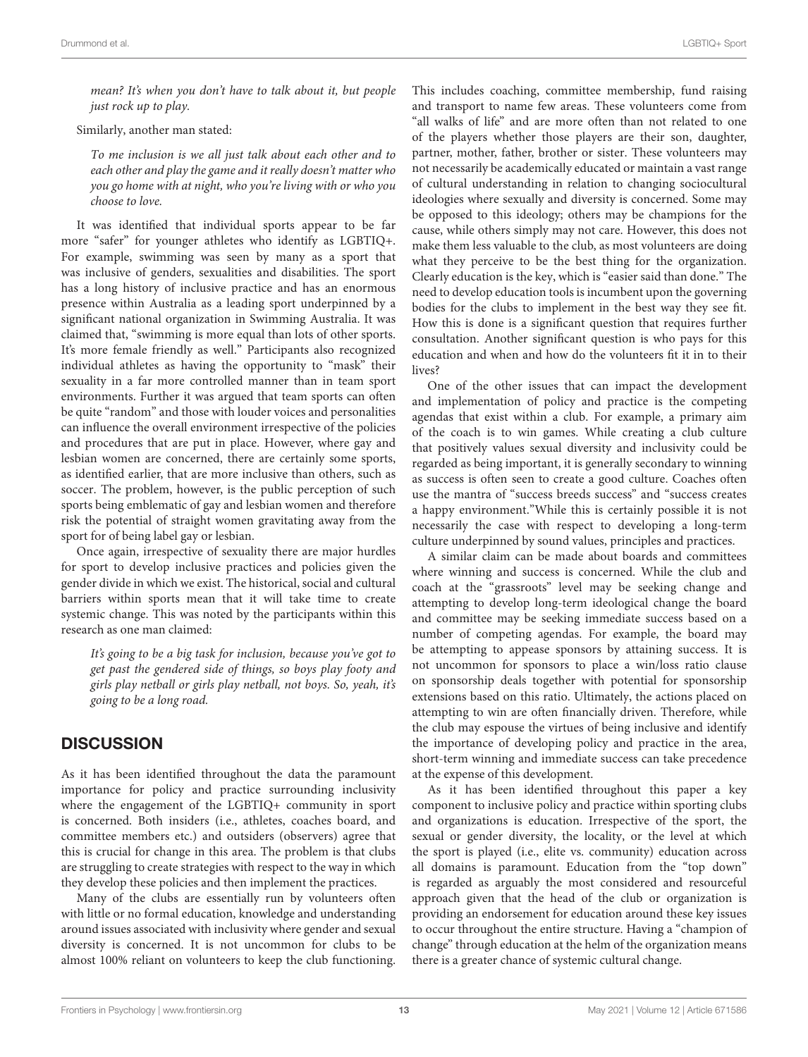mean? It's when you don't have to talk about it, but people just rock up to play.

Similarly, another man stated:

To me inclusion is we all just talk about each other and to each other and play the game and it really doesn't matter who you go home with at night, who you're living with or who you choose to love.

It was identified that individual sports appear to be far more "safer" for younger athletes who identify as LGBTIQ+. For example, swimming was seen by many as a sport that was inclusive of genders, sexualities and disabilities. The sport has a long history of inclusive practice and has an enormous presence within Australia as a leading sport underpinned by a significant national organization in Swimming Australia. It was claimed that, "swimming is more equal than lots of other sports. It's more female friendly as well." Participants also recognized individual athletes as having the opportunity to "mask" their sexuality in a far more controlled manner than in team sport environments. Further it was argued that team sports can often be quite "random" and those with louder voices and personalities can influence the overall environment irrespective of the policies and procedures that are put in place. However, where gay and lesbian women are concerned, there are certainly some sports, as identified earlier, that are more inclusive than others, such as soccer. The problem, however, is the public perception of such sports being emblematic of gay and lesbian women and therefore risk the potential of straight women gravitating away from the sport for of being label gay or lesbian.

Once again, irrespective of sexuality there are major hurdles for sport to develop inclusive practices and policies given the gender divide in which we exist. The historical, social and cultural barriers within sports mean that it will take time to create systemic change. This was noted by the participants within this research as one man claimed:

It's going to be a big task for inclusion, because you've got to get past the gendered side of things, so boys play footy and girls play netball or girls play netball, not boys. So, yeah, it's going to be a long road.

# **DISCUSSION**

As it has been identified throughout the data the paramount importance for policy and practice surrounding inclusivity where the engagement of the LGBTIQ+ community in sport is concerned. Both insiders (i.e., athletes, coaches board, and committee members etc.) and outsiders (observers) agree that this is crucial for change in this area. The problem is that clubs are struggling to create strategies with respect to the way in which they develop these policies and then implement the practices.

Many of the clubs are essentially run by volunteers often with little or no formal education, knowledge and understanding around issues associated with inclusivity where gender and sexual diversity is concerned. It is not uncommon for clubs to be almost 100% reliant on volunteers to keep the club functioning.

This includes coaching, committee membership, fund raising and transport to name few areas. These volunteers come from "all walks of life" and are more often than not related to one of the players whether those players are their son, daughter, partner, mother, father, brother or sister. These volunteers may not necessarily be academically educated or maintain a vast range of cultural understanding in relation to changing sociocultural ideologies where sexually and diversity is concerned. Some may be opposed to this ideology; others may be champions for the cause, while others simply may not care. However, this does not make them less valuable to the club, as most volunteers are doing what they perceive to be the best thing for the organization. Clearly education is the key, which is "easier said than done." The need to develop education tools is incumbent upon the governing bodies for the clubs to implement in the best way they see fit. How this is done is a significant question that requires further consultation. Another significant question is who pays for this education and when and how do the volunteers fit it in to their lives?

One of the other issues that can impact the development and implementation of policy and practice is the competing agendas that exist within a club. For example, a primary aim of the coach is to win games. While creating a club culture that positively values sexual diversity and inclusivity could be regarded as being important, it is generally secondary to winning as success is often seen to create a good culture. Coaches often use the mantra of "success breeds success" and "success creates a happy environment."While this is certainly possible it is not necessarily the case with respect to developing a long-term culture underpinned by sound values, principles and practices.

A similar claim can be made about boards and committees where winning and success is concerned. While the club and coach at the "grassroots" level may be seeking change and attempting to develop long-term ideological change the board and committee may be seeking immediate success based on a number of competing agendas. For example, the board may be attempting to appease sponsors by attaining success. It is not uncommon for sponsors to place a win/loss ratio clause on sponsorship deals together with potential for sponsorship extensions based on this ratio. Ultimately, the actions placed on attempting to win are often financially driven. Therefore, while the club may espouse the virtues of being inclusive and identify the importance of developing policy and practice in the area, short-term winning and immediate success can take precedence at the expense of this development.

As it has been identified throughout this paper a key component to inclusive policy and practice within sporting clubs and organizations is education. Irrespective of the sport, the sexual or gender diversity, the locality, or the level at which the sport is played (i.e., elite vs. community) education across all domains is paramount. Education from the "top down" is regarded as arguably the most considered and resourceful approach given that the head of the club or organization is providing an endorsement for education around these key issues to occur throughout the entire structure. Having a "champion of change" through education at the helm of the organization means there is a greater chance of systemic cultural change.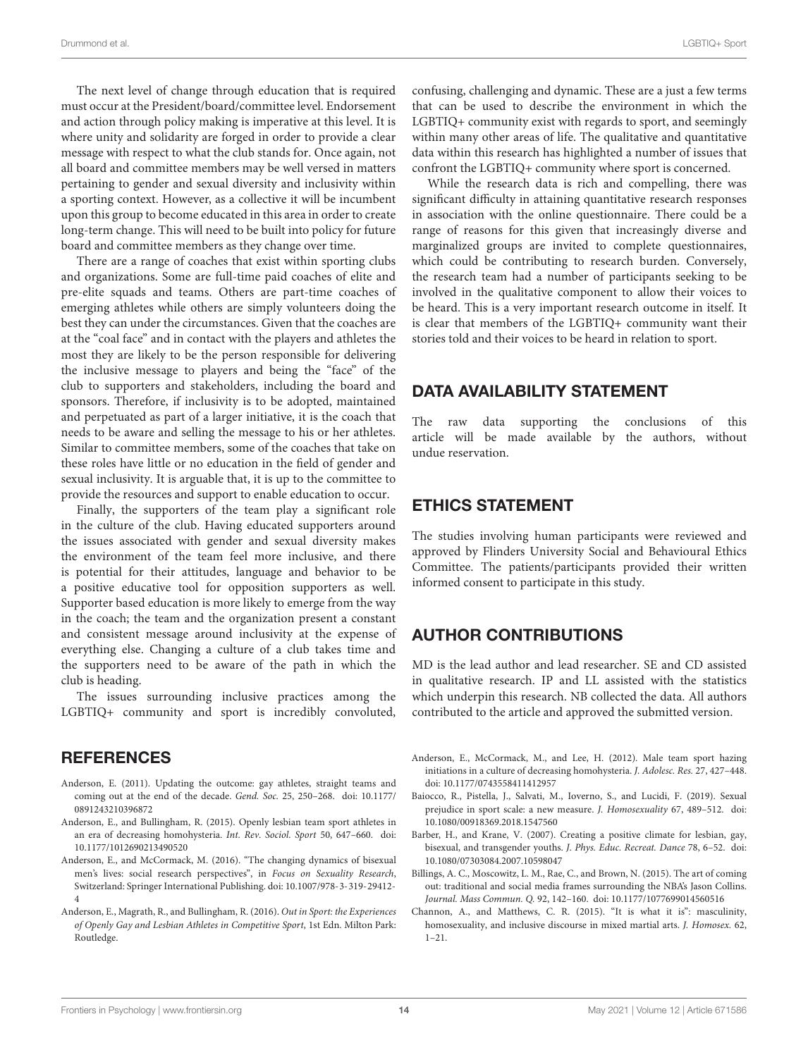The next level of change through education that is required must occur at the President/board/committee level. Endorsement and action through policy making is imperative at this level. It is where unity and solidarity are forged in order to provide a clear message with respect to what the club stands for. Once again, not all board and committee members may be well versed in matters pertaining to gender and sexual diversity and inclusivity within a sporting context. However, as a collective it will be incumbent upon this group to become educated in this area in order to create long-term change. This will need to be built into policy for future board and committee members as they change over time.

There are a range of coaches that exist within sporting clubs and organizations. Some are full-time paid coaches of elite and pre-elite squads and teams. Others are part-time coaches of emerging athletes while others are simply volunteers doing the best they can under the circumstances. Given that the coaches are at the "coal face" and in contact with the players and athletes the most they are likely to be the person responsible for delivering the inclusive message to players and being the "face" of the club to supporters and stakeholders, including the board and sponsors. Therefore, if inclusivity is to be adopted, maintained and perpetuated as part of a larger initiative, it is the coach that needs to be aware and selling the message to his or her athletes. Similar to committee members, some of the coaches that take on these roles have little or no education in the field of gender and sexual inclusivity. It is arguable that, it is up to the committee to provide the resources and support to enable education to occur.

Finally, the supporters of the team play a significant role in the culture of the club. Having educated supporters around the issues associated with gender and sexual diversity makes the environment of the team feel more inclusive, and there is potential for their attitudes, language and behavior to be a positive educative tool for opposition supporters as well. Supporter based education is more likely to emerge from the way in the coach; the team and the organization present a constant and consistent message around inclusivity at the expense of everything else. Changing a culture of a club takes time and the supporters need to be aware of the path in which the club is heading.

The issues surrounding inclusive practices among the LGBTIQ+ community and sport is incredibly convoluted,

## REFERENCES

- <span id="page-13-0"></span>Anderson, E. (2011). Updating the outcome: gay athletes, straight teams and coming out at the end of the decade. Gend. Soc. 25, 250–268. [doi: 10.1177/](https://doi.org/10.1177/0891243210396872) [0891243210396872](https://doi.org/10.1177/0891243210396872)
- <span id="page-13-6"></span>Anderson, E., and Bullingham, R. (2015). Openly lesbian team sport athletes in an era of decreasing homohysteria. Int. Rev. Sociol. Sport 50, 647–660. [doi:](https://doi.org/10.1177/1012690213490520) [10.1177/1012690213490520](https://doi.org/10.1177/1012690213490520)
- <span id="page-13-7"></span>Anderson, E., and McCormack, M. (2016). "The changing dynamics of bisexual men's lives: social research perspectives", in Focus on Sexuality Research, Switzerland: Springer International Publishing. [doi: 10.1007/978-3-319-29412-](https://doi.org/10.1007/978-3-319-29412-4) [4](https://doi.org/10.1007/978-3-319-29412-4)
- <span id="page-13-3"></span>Anderson, E., Magrath, R., and Bullingham, R. (2016). Out in Sport: the Experiences of Openly Gay and Lesbian Athletes in Competitive Sport, 1st Edn. Milton Park: Routledge.

confusing, challenging and dynamic. These are a just a few terms that can be used to describe the environment in which the LGBTIQ+ community exist with regards to sport, and seemingly within many other areas of life. The qualitative and quantitative data within this research has highlighted a number of issues that confront the LGBTIQ+ community where sport is concerned.

While the research data is rich and compelling, there was significant difficulty in attaining quantitative research responses in association with the online questionnaire. There could be a range of reasons for this given that increasingly diverse and marginalized groups are invited to complete questionnaires, which could be contributing to research burden. Conversely, the research team had a number of participants seeking to be involved in the qualitative component to allow their voices to be heard. This is a very important research outcome in itself. It is clear that members of the LGBTIQ+ community want their stories told and their voices to be heard in relation to sport.

# DATA AVAILABILITY STATEMENT

The raw data supporting the conclusions of this article will be made available by the authors, without undue reservation.

## ETHICS STATEMENT

The studies involving human participants were reviewed and approved by Flinders University Social and Behavioural Ethics Committee. The patients/participants provided their written informed consent to participate in this study.

# AUTHOR CONTRIBUTIONS

MD is the lead author and lead researcher. SE and CD assisted in qualitative research. IP and LL assisted with the statistics which underpin this research. NB collected the data. All authors contributed to the article and approved the submitted version.

- <span id="page-13-1"></span>Anderson, E., McCormack, M., and Lee, H. (2012). Male team sport hazing initiations in a culture of decreasing homohysteria. J. Adolesc. Res. 27, 427–448. [doi: 10.1177/0743558411412957](https://doi.org/10.1177/0743558411412957)
- <span id="page-13-5"></span>Baiocco, R., Pistella, J., Salvati, M., Ioverno, S., and Lucidi, F. (2019). Sexual prejudice in sport scale: a new measure. J. Homosexuality 67, 489–512. [doi:](https://doi.org/10.1080/00918369.2018.1547560) [10.1080/00918369.2018.1547560](https://doi.org/10.1080/00918369.2018.1547560)
- <span id="page-13-8"></span>Barber, H., and Krane, V. (2007). Creating a positive climate for lesbian, gay, bisexual, and transgender youths. J. Phys. Educ. Recreat. Dance 78, 6–52. [doi:](https://doi.org/10.1080/07303084.2007.10598047) [10.1080/07303084.2007.10598047](https://doi.org/10.1080/07303084.2007.10598047)
- <span id="page-13-4"></span>Billings, A. C., Moscowitz, L. M., Rae, C., and Brown, N. (2015). The art of coming out: traditional and social media frames surrounding the NBA's Jason Collins. Journal. Mass Commun. Q. 92, 142–160. [doi: 10.1177/1077699014560516](https://doi.org/10.1177/1077699014560516)
- <span id="page-13-2"></span>Channon, A., and Matthews, C. R. (2015). "It is what it is": masculinity, homosexuality, and inclusive discourse in mixed martial arts. J. Homosex. 62, 1–21.